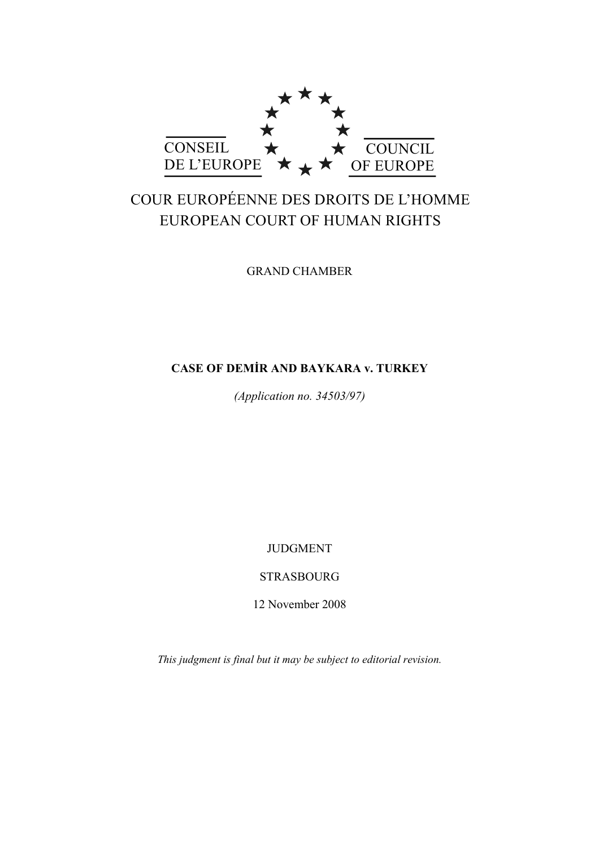

# COUR EUROPÉENNE DES DROITS DE L'HOMME EUROPEAN COURT OF HUMAN RIGHTS

GRAND CHAMBER

# **CASE OF DEMİR AND BAYKARA v. TURKEY**

*(Application no. 34503/97)* 

JUDGMENT

STRASBOURG

12 November 2008

*This judgment is final but it may be subject to editorial revision.*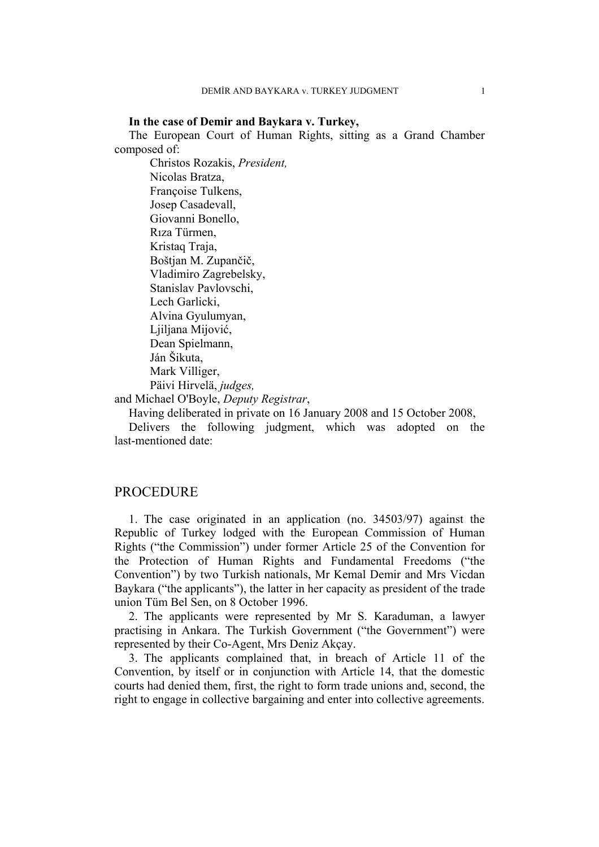### **In the case of Demir and Baykara v. Turkey,**

The European Court of Human Rights, sitting as a Grand Chamber composed of:

 Christos Rozakis, *President,*  Nicolas Bratza, Françoise Tulkens, Josep Casadevall, Giovanni Bonello, Rıza Türmen, Kristaq Traja, Boštjan M. Zupančič, Vladimiro Zagrebelsky, Stanislav Pavlovschi, Lech Garlicki, Alvina Gyulumyan, Liiliana Mijović, Dean Spielmann, Ján Šikuta, Mark Villiger, Päivi Hirvelä, *judges,*  and Michael O'Boyle, *Deputy Registrar*,

Having deliberated in private on 16 January 2008 and 15 October 2008,

Delivers the following judgment, which was adopted on the last-mentioned date:

# PROCEDURE

1. The case originated in an application (no. 34503/97) against the Republic of Turkey lodged with the European Commission of Human Rights ("the Commission") under former Article 25 of the Convention for the Protection of Human Rights and Fundamental Freedoms ("the Convention") by two Turkish nationals, Mr Kemal Demir and Mrs Vicdan Baykara ("the applicants"), the latter in her capacity as president of the trade union Tüm Bel Sen, on 8 October 1996.

2. The applicants were represented by Mr S. Karaduman, a lawyer practising in Ankara. The Turkish Government ("the Government") were represented by their Co-Agent, Mrs Deniz Akçay.

3. The applicants complained that, in breach of Article 11 of the Convention, by itself or in conjunction with Article 14, that the domestic courts had denied them, first, the right to form trade unions and, second, the right to engage in collective bargaining and enter into collective agreements.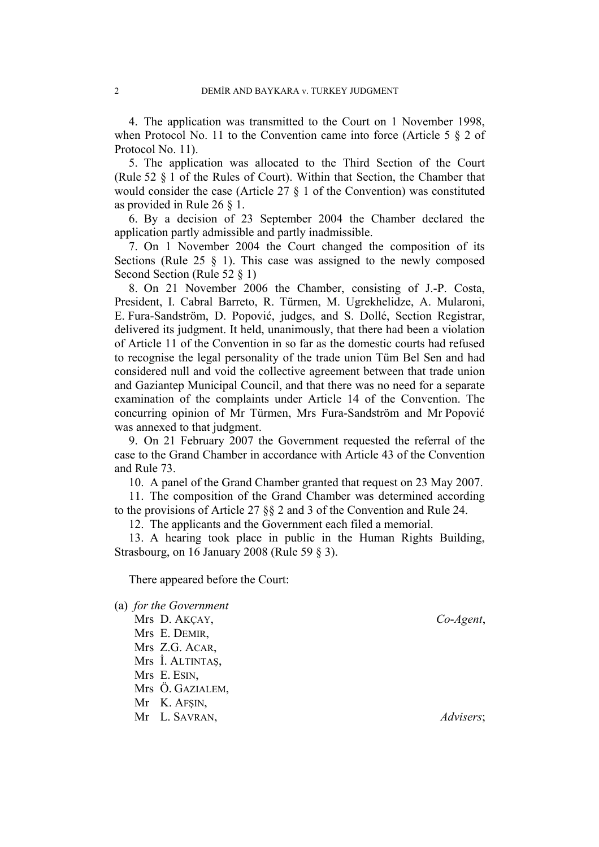4. The application was transmitted to the Court on 1 November 1998, when Protocol No. 11 to the Convention came into force (Article 5 § 2 of Protocol No. 11).

5. The application was allocated to the Third Section of the Court (Rule 52 § 1 of the Rules of Court). Within that Section, the Chamber that would consider the case (Article 27 § 1 of the Convention) was constituted as provided in Rule 26 § 1.

6. By a decision of 23 September 2004 the Chamber declared the application partly admissible and partly inadmissible.

7. On 1 November 2004 the Court changed the composition of its Sections (Rule 25  $\S$  1). This case was assigned to the newly composed Second Section (Rule 52 § 1)

8. On 21 November 2006 the Chamber, consisting of J.-P. Costa, President, I. Cabral Barreto, R. Türmen, M. Ugrekhelidze, A. Mularoni, E. Fura-Sandström, D. Popović, judges, and S. Dollé, Section Registrar, delivered its judgment. It held, unanimously, that there had been a violation of Article 11 of the Convention in so far as the domestic courts had refused to recognise the legal personality of the trade union Tüm Bel Sen and had considered null and void the collective agreement between that trade union and Gaziantep Municipal Council, and that there was no need for a separate examination of the complaints under Article 14 of the Convention. The concurring opinion of Mr Türmen, Mrs Fura-Sandström and Mr Popović was annexed to that judgment.

9. On 21 February 2007 the Government requested the referral of the case to the Grand Chamber in accordance with Article 43 of the Convention and Rule 73.

10. A panel of the Grand Chamber granted that request on 23 May 2007.

11. The composition of the Grand Chamber was determined according to the provisions of Article 27 §§ 2 and 3 of the Convention and Rule 24.

12. The applicants and the Government each filed a memorial.

13. A hearing took place in public in the Human Rights Building, Strasbourg, on 16 January 2008 (Rule 59 § 3).

There appeared before the Court:

(a) *for the Government* Mrs D. AKÇAY, *Co*-*Agent*, Mrs E. DEMIR, Mrs Z.G. ACAR, Mrs İ. ALTINTAŞ, Mrs E. ESIN, Mrs Ö. GAZIALEM, Mr K. AFŞIN, Mr L. SAVRAN, *Advisers*;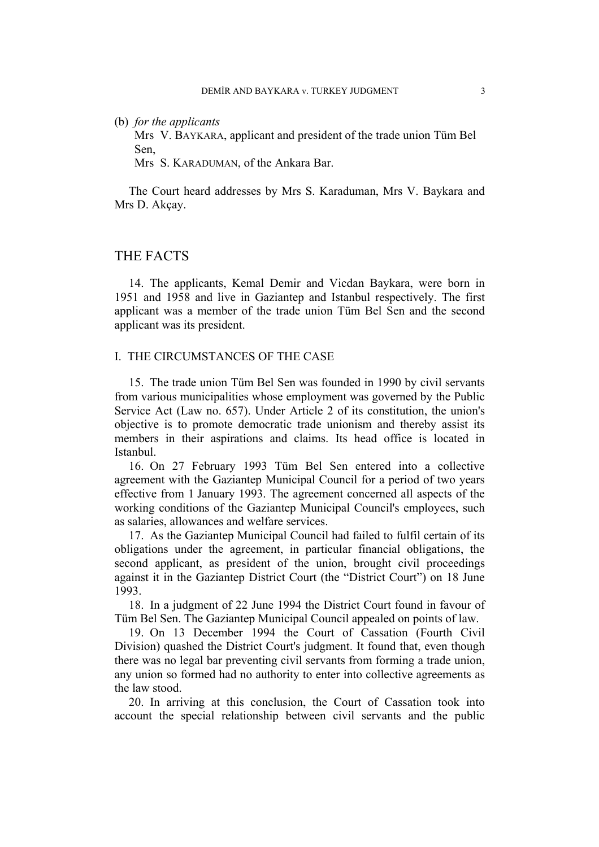(b) *for the applicants*

Mrs V. BAYKARA, applicant and president of the trade union Tüm Bel Sen,

Mrs S. KARADUMAN, of the Ankara Bar.

The Court heard addresses by Mrs S. Karaduman, Mrs V. Baykara and Mrs D. Akçay.

# THE FACTS

14. The applicants, Kemal Demir and Vicdan Baykara, were born in 1951 and 1958 and live in Gaziantep and Istanbul respectively. The first applicant was a member of the trade union Tüm Bel Sen and the second applicant was its president.

### I. THE CIRCUMSTANCES OF THE CASE

15. The trade union Tüm Bel Sen was founded in 1990 by civil servants from various municipalities whose employment was governed by the Public Service Act (Law no. 657). Under Article 2 of its constitution, the union's objective is to promote democratic trade unionism and thereby assist its members in their aspirations and claims. Its head office is located in Istanbul.

16. On 27 February 1993 Tüm Bel Sen entered into a collective agreement with the Gaziantep Municipal Council for a period of two years effective from 1 January 1993. The agreement concerned all aspects of the working conditions of the Gaziantep Municipal Council's employees, such as salaries, allowances and welfare services.

17. As the Gaziantep Municipal Council had failed to fulfil certain of its obligations under the agreement, in particular financial obligations, the second applicant, as president of the union, brought civil proceedings against it in the Gaziantep District Court (the "District Court") on 18 June 1993.

18. In a judgment of 22 June 1994 the District Court found in favour of Tüm Bel Sen. The Gaziantep Municipal Council appealed on points of law.

19. On 13 December 1994 the Court of Cassation (Fourth Civil Division) quashed the District Court's judgment. It found that, even though there was no legal bar preventing civil servants from forming a trade union, any union so formed had no authority to enter into collective agreements as the law stood.

20. In arriving at this conclusion, the Court of Cassation took into account the special relationship between civil servants and the public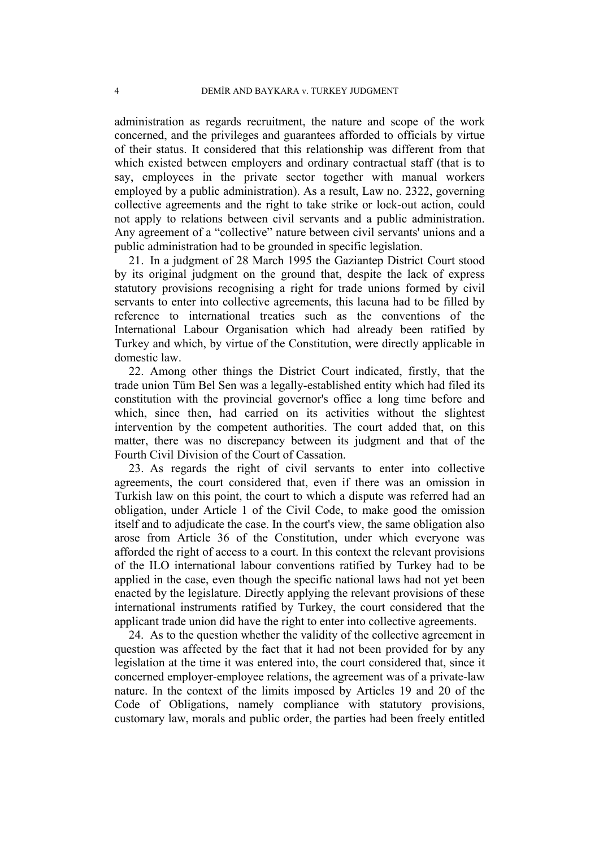administration as regards recruitment, the nature and scope of the work concerned, and the privileges and guarantees afforded to officials by virtue of their status. It considered that this relationship was different from that which existed between employers and ordinary contractual staff (that is to say, employees in the private sector together with manual workers employed by a public administration). As a result, Law no. 2322, governing collective agreements and the right to take strike or lock-out action, could not apply to relations between civil servants and a public administration. Any agreement of a "collective" nature between civil servants' unions and a public administration had to be grounded in specific legislation.

21. In a judgment of 28 March 1995 the Gaziantep District Court stood by its original judgment on the ground that, despite the lack of express statutory provisions recognising a right for trade unions formed by civil servants to enter into collective agreements, this lacuna had to be filled by reference to international treaties such as the conventions of the International Labour Organisation which had already been ratified by Turkey and which, by virtue of the Constitution, were directly applicable in domestic law.

22. Among other things the District Court indicated, firstly, that the trade union Tüm Bel Sen was a legally-established entity which had filed its constitution with the provincial governor's office a long time before and which, since then, had carried on its activities without the slightest intervention by the competent authorities. The court added that, on this matter, there was no discrepancy between its judgment and that of the Fourth Civil Division of the Court of Cassation.

23. As regards the right of civil servants to enter into collective agreements, the court considered that, even if there was an omission in Turkish law on this point, the court to which a dispute was referred had an obligation, under Article 1 of the Civil Code, to make good the omission itself and to adjudicate the case. In the court's view, the same obligation also arose from Article 36 of the Constitution, under which everyone was afforded the right of access to a court. In this context the relevant provisions of the ILO international labour conventions ratified by Turkey had to be applied in the case, even though the specific national laws had not yet been enacted by the legislature. Directly applying the relevant provisions of these international instruments ratified by Turkey, the court considered that the applicant trade union did have the right to enter into collective agreements.

24. As to the question whether the validity of the collective agreement in question was affected by the fact that it had not been provided for by any legislation at the time it was entered into, the court considered that, since it concerned employer-employee relations, the agreement was of a private-law nature. In the context of the limits imposed by Articles 19 and 20 of the Code of Obligations, namely compliance with statutory provisions, customary law, morals and public order, the parties had been freely entitled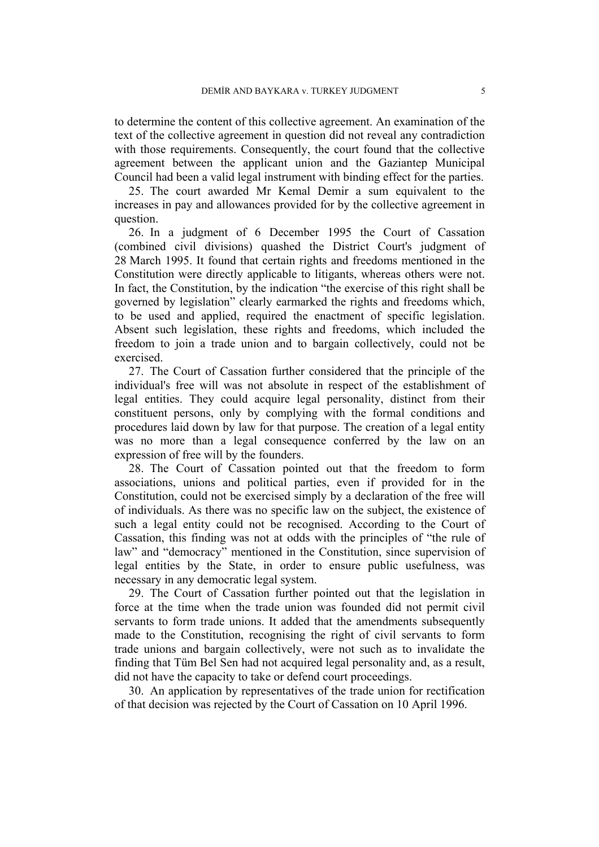to determine the content of this collective agreement. An examination of the text of the collective agreement in question did not reveal any contradiction with those requirements. Consequently, the court found that the collective agreement between the applicant union and the Gaziantep Municipal Council had been a valid legal instrument with binding effect for the parties.

25. The court awarded Mr Kemal Demir a sum equivalent to the increases in pay and allowances provided for by the collective agreement in question.

26. In a judgment of 6 December 1995 the Court of Cassation (combined civil divisions) quashed the District Court's judgment of 28 March 1995. It found that certain rights and freedoms mentioned in the Constitution were directly applicable to litigants, whereas others were not. In fact, the Constitution, by the indication "the exercise of this right shall be governed by legislation" clearly earmarked the rights and freedoms which, to be used and applied, required the enactment of specific legislation. Absent such legislation, these rights and freedoms, which included the freedom to join a trade union and to bargain collectively, could not be exercised.

27. The Court of Cassation further considered that the principle of the individual's free will was not absolute in respect of the establishment of legal entities. They could acquire legal personality, distinct from their constituent persons, only by complying with the formal conditions and procedures laid down by law for that purpose. The creation of a legal entity was no more than a legal consequence conferred by the law on an expression of free will by the founders.

28. The Court of Cassation pointed out that the freedom to form associations, unions and political parties, even if provided for in the Constitution, could not be exercised simply by a declaration of the free will of individuals. As there was no specific law on the subject, the existence of such a legal entity could not be recognised. According to the Court of Cassation, this finding was not at odds with the principles of "the rule of law" and "democracy" mentioned in the Constitution, since supervision of legal entities by the State, in order to ensure public usefulness, was necessary in any democratic legal system.

29. The Court of Cassation further pointed out that the legislation in force at the time when the trade union was founded did not permit civil servants to form trade unions. It added that the amendments subsequently made to the Constitution, recognising the right of civil servants to form trade unions and bargain collectively, were not such as to invalidate the finding that Tüm Bel Sen had not acquired legal personality and, as a result, did not have the capacity to take or defend court proceedings.

30. An application by representatives of the trade union for rectification of that decision was rejected by the Court of Cassation on 10 April 1996.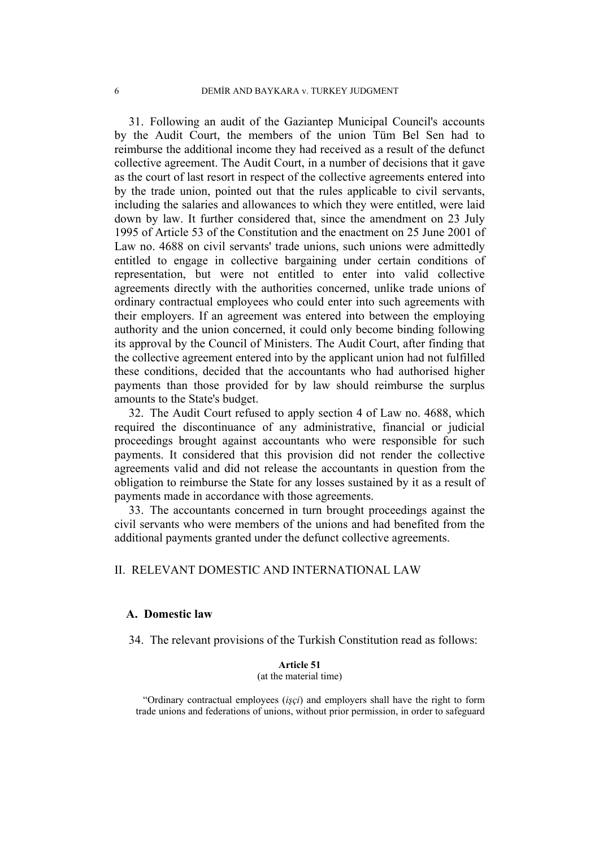31. Following an audit of the Gaziantep Municipal Council's accounts by the Audit Court, the members of the union Tüm Bel Sen had to reimburse the additional income they had received as a result of the defunct collective agreement. The Audit Court, in a number of decisions that it gave as the court of last resort in respect of the collective agreements entered into by the trade union, pointed out that the rules applicable to civil servants, including the salaries and allowances to which they were entitled, were laid down by law. It further considered that, since the amendment on 23 July 1995 of Article 53 of the Constitution and the enactment on 25 June 2001 of Law no. 4688 on civil servants' trade unions, such unions were admittedly entitled to engage in collective bargaining under certain conditions of representation, but were not entitled to enter into valid collective agreements directly with the authorities concerned, unlike trade unions of ordinary contractual employees who could enter into such agreements with their employers. If an agreement was entered into between the employing authority and the union concerned, it could only become binding following its approval by the Council of Ministers. The Audit Court, after finding that the collective agreement entered into by the applicant union had not fulfilled these conditions, decided that the accountants who had authorised higher payments than those provided for by law should reimburse the surplus amounts to the State's budget.

32. The Audit Court refused to apply section 4 of Law no. 4688, which required the discontinuance of any administrative, financial or judicial proceedings brought against accountants who were responsible for such payments. It considered that this provision did not render the collective agreements valid and did not release the accountants in question from the obligation to reimburse the State for any losses sustained by it as a result of payments made in accordance with those agreements.

33. The accountants concerned in turn brought proceedings against the civil servants who were members of the unions and had benefited from the additional payments granted under the defunct collective agreements.

# II. RELEVANT DOMESTIC AND INTERNATIONAL LAW

### **A. Domestic law**

34. The relevant provisions of the Turkish Constitution read as follows:

#### **Article 51**  (at the material time)

"Ordinary contractual employees (*işçi*) and employers shall have the right to form trade unions and federations of unions, without prior permission, in order to safeguard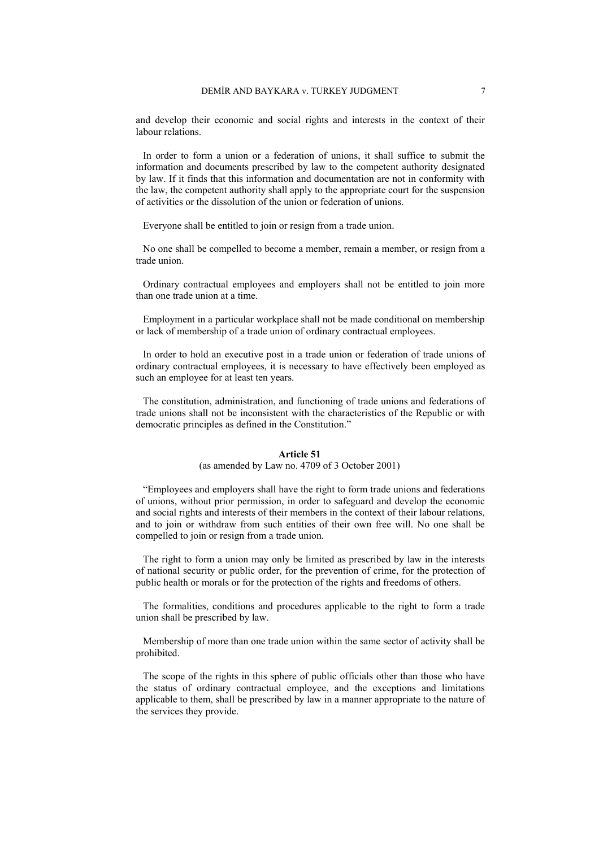and develop their economic and social rights and interests in the context of their labour relations.

In order to form a union or a federation of unions, it shall suffice to submit the information and documents prescribed by law to the competent authority designated by law. If it finds that this information and documentation are not in conformity with the law, the competent authority shall apply to the appropriate court for the suspension of activities or the dissolution of the union or federation of unions.

Everyone shall be entitled to join or resign from a trade union.

No one shall be compelled to become a member, remain a member, or resign from a trade union.

Ordinary contractual employees and employers shall not be entitled to join more than one trade union at a time.

Employment in a particular workplace shall not be made conditional on membership or lack of membership of a trade union of ordinary contractual employees.

In order to hold an executive post in a trade union or federation of trade unions of ordinary contractual employees, it is necessary to have effectively been employed as such an employee for at least ten years.

The constitution, administration, and functioning of trade unions and federations of trade unions shall not be inconsistent with the characteristics of the Republic or with democratic principles as defined in the Constitution."

#### **Article 51**

#### (as amended by Law no. 4709 of 3 October 2001)

"Employees and employers shall have the right to form trade unions and federations of unions, without prior permission, in order to safeguard and develop the economic and social rights and interests of their members in the context of their labour relations, and to join or withdraw from such entities of their own free will. No one shall be compelled to join or resign from a trade union.

The right to form a union may only be limited as prescribed by law in the interests of national security or public order, for the prevention of crime, for the protection of public health or morals or for the protection of the rights and freedoms of others.

The formalities, conditions and procedures applicable to the right to form a trade union shall be prescribed by law.

Membership of more than one trade union within the same sector of activity shall be prohibited.

The scope of the rights in this sphere of public officials other than those who have the status of ordinary contractual employee, and the exceptions and limitations applicable to them, shall be prescribed by law in a manner appropriate to the nature of the services they provide.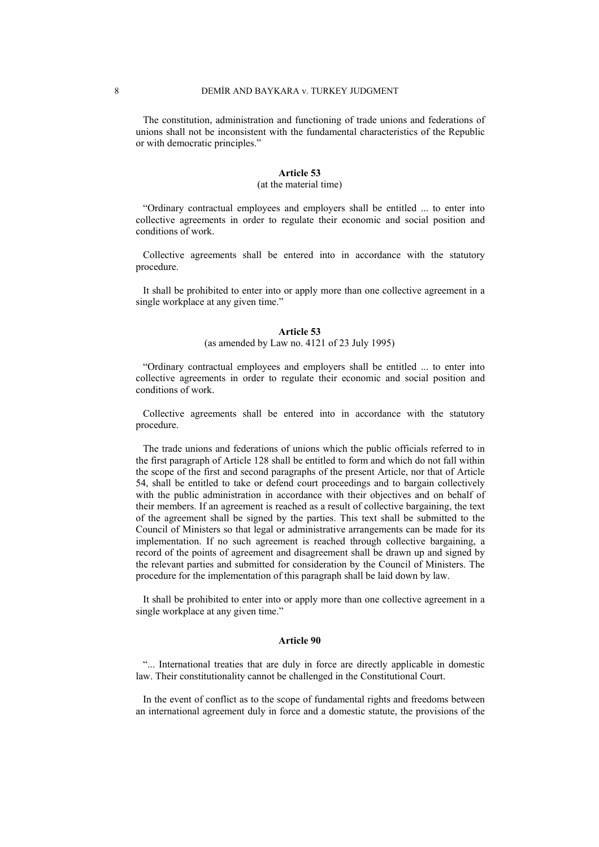The constitution, administration and functioning of trade unions and federations of unions shall not be inconsistent with the fundamental characteristics of the Republic or with democratic principles."

#### **Article 53**

#### (at the material time)

"Ordinary contractual employees and employers shall be entitled ... to enter into collective agreements in order to regulate their economic and social position and conditions of work.

Collective agreements shall be entered into in accordance with the statutory procedure.

It shall be prohibited to enter into or apply more than one collective agreement in a single workplace at any given time."

#### **Article 53**

#### (as amended by Law no. 4121 of 23 July 1995)

"Ordinary contractual employees and employers shall be entitled ... to enter into collective agreements in order to regulate their economic and social position and conditions of work.

Collective agreements shall be entered into in accordance with the statutory procedure.

The trade unions and federations of unions which the public officials referred to in the first paragraph of Article 128 shall be entitled to form and which do not fall within the scope of the first and second paragraphs of the present Article, nor that of Article 54, shall be entitled to take or defend court proceedings and to bargain collectively with the public administration in accordance with their objectives and on behalf of their members. If an agreement is reached as a result of collective bargaining, the text of the agreement shall be signed by the parties. This text shall be submitted to the Council of Ministers so that legal or administrative arrangements can be made for its implementation. If no such agreement is reached through collective bargaining, a record of the points of agreement and disagreement shall be drawn up and signed by the relevant parties and submitted for consideration by the Council of Ministers. The procedure for the implementation of this paragraph shall be laid down by law.

It shall be prohibited to enter into or apply more than one collective agreement in a single workplace at any given time."

#### **Article 90**

"... International treaties that are duly in force are directly applicable in domestic law. Their constitutionality cannot be challenged in the Constitutional Court.

In the event of conflict as to the scope of fundamental rights and freedoms between an international agreement duly in force and a domestic statute, the provisions of the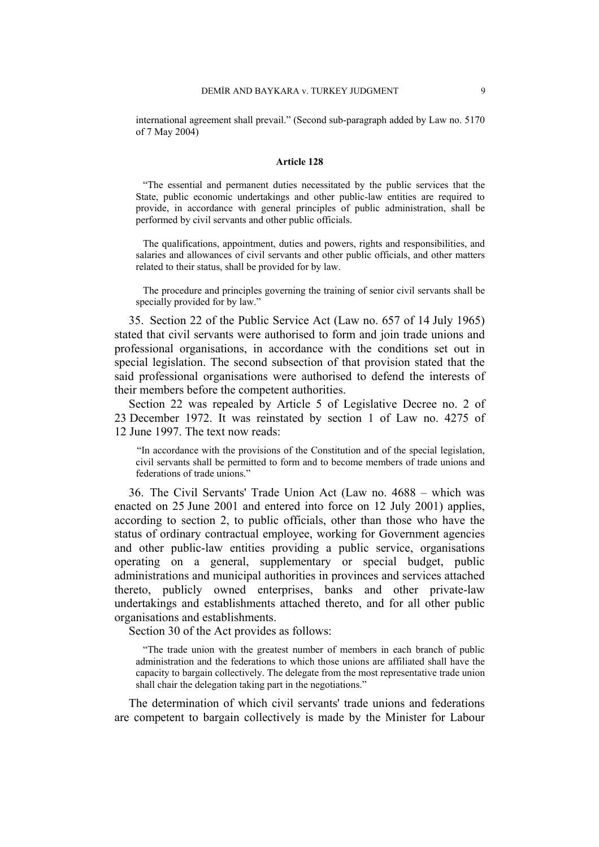international agreement shall prevail." (Second sub-paragraph added by Law no. 5170 of 7 May 2004)

#### **Article 128**

"The essential and permanent duties necessitated by the public services that the State, public economic undertakings and other public-law entities are required to provide, in accordance with general principles of public administration, shall be performed by civil servants and other public officials.

The qualifications, appointment, duties and powers, rights and responsibilities, and salaries and allowances of civil servants and other public officials, and other matters related to their status, shall be provided for by law.

The procedure and principles governing the training of senior civil servants shall be specially provided for by law."

35. Section 22 of the Public Service Act (Law no. 657 of 14 July 1965) stated that civil servants were authorised to form and join trade unions and professional organisations, in accordance with the conditions set out in special legislation. The second subsection of that provision stated that the said professional organisations were authorised to defend the interests of their members before the competent authorities.

Section 22 was repealed by Article 5 of Legislative Decree no. 2 of 23 December 1972. It was reinstated by section 1 of Law no. 4275 of 12 June 1997. The text now reads:

"In accordance with the provisions of the Constitution and of the special legislation, civil servants shall be permitted to form and to become members of trade unions and federations of trade unions."

36. The Civil Servants' Trade Union Act (Law no. 4688 – which was enacted on 25 June 2001 and entered into force on 12 July 2001) applies, according to section 2, to public officials, other than those who have the status of ordinary contractual employee, working for Government agencies and other public-law entities providing a public service, organisations operating on a general, supplementary or special budget, public administrations and municipal authorities in provinces and services attached thereto, publicly owned enterprises, banks and other private-law undertakings and establishments attached thereto, and for all other public organisations and establishments.

Section 30 of the Act provides as follows:

"The trade union with the greatest number of members in each branch of public administration and the federations to which those unions are affiliated shall have the capacity to bargain collectively. The delegate from the most representative trade union shall chair the delegation taking part in the negotiations."

The determination of which civil servants' trade unions and federations are competent to bargain collectively is made by the Minister for Labour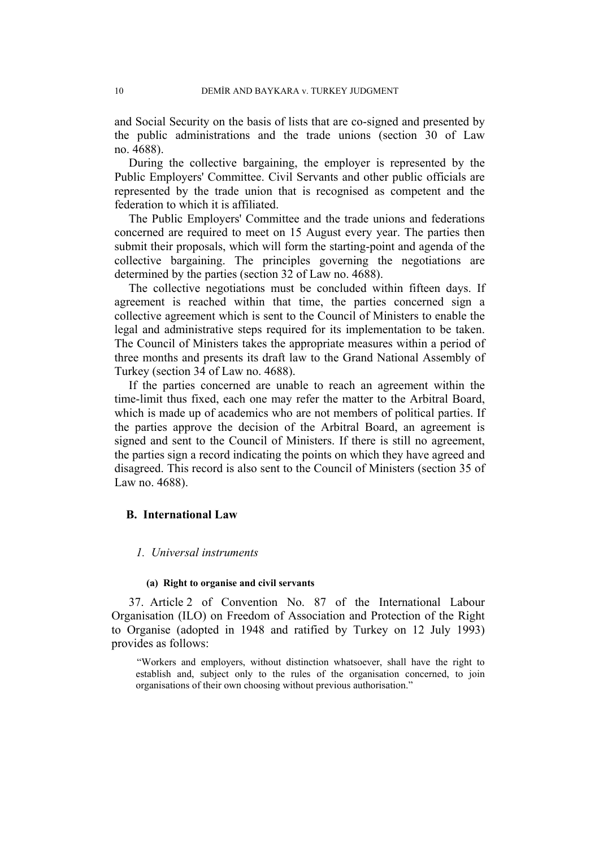and Social Security on the basis of lists that are co-signed and presented by the public administrations and the trade unions (section 30 of Law no. 4688).

During the collective bargaining, the employer is represented by the Public Employers' Committee. Civil Servants and other public officials are represented by the trade union that is recognised as competent and the federation to which it is affiliated.

The Public Employers' Committee and the trade unions and federations concerned are required to meet on 15 August every year. The parties then submit their proposals, which will form the starting-point and agenda of the collective bargaining. The principles governing the negotiations are determined by the parties (section 32 of Law no. 4688).

The collective negotiations must be concluded within fifteen days. If agreement is reached within that time, the parties concerned sign a collective agreement which is sent to the Council of Ministers to enable the legal and administrative steps required for its implementation to be taken. The Council of Ministers takes the appropriate measures within a period of three months and presents its draft law to the Grand National Assembly of Turkey (section 34 of Law no. 4688).

If the parties concerned are unable to reach an agreement within the time-limit thus fixed, each one may refer the matter to the Arbitral Board, which is made up of academics who are not members of political parties. If the parties approve the decision of the Arbitral Board, an agreement is signed and sent to the Council of Ministers. If there is still no agreement, the parties sign a record indicating the points on which they have agreed and disagreed. This record is also sent to the Council of Ministers (section 35 of Law no. 4688).

### **B. International Law**

### *1. Universal instruments*

#### **(a) Right to organise and civil servants**

37. Article 2 of Convention No. 87 of the International Labour Organisation (ILO) on Freedom of Association and Protection of the Right to Organise (adopted in 1948 and ratified by Turkey on 12 July 1993) provides as follows:

"Workers and employers, without distinction whatsoever, shall have the right to establish and, subject only to the rules of the organisation concerned, to join organisations of their own choosing without previous authorisation."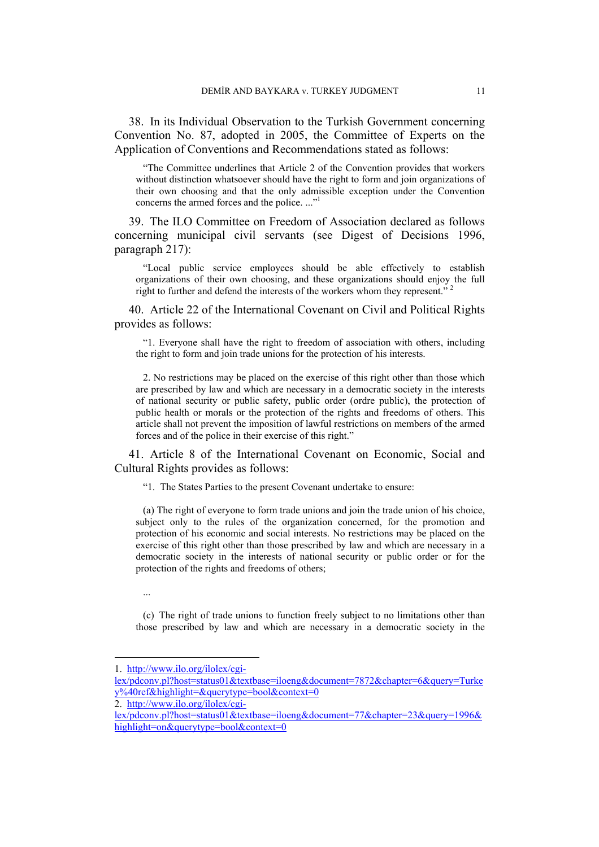38. In its Individual Observation to the Turkish Government concerning Convention No. 87, adopted in 2005, the Committee of Experts on the Application of Conventions and Recommendations stated as follows:

"The Committee underlines that Article 2 of the Convention provides that workers without distinction whatsoever should have the right to form and join organizations of their own choosing and that the only admissible exception under the Convention concerns the armed forces and the police. ..."1

39. The ILO Committee on Freedom of Association declared as follows concerning municipal civil servants (see Digest of Decisions 1996, paragraph 217):

"Local public service employees should be able effectively to establish organizations of their own choosing, and these organizations should enjoy the full right to further and defend the interests of the workers whom they represent."<sup>2</sup>

40. Article 22 of the International Covenant on Civil and Political Rights provides as follows:

"1. Everyone shall have the right to freedom of association with others, including the right to form and join trade unions for the protection of his interests.

2. No restrictions may be placed on the exercise of this right other than those which are prescribed by law and which are necessary in a democratic society in the interests of national security or public safety, public order (ordre public), the protection of public health or morals or the protection of the rights and freedoms of others. This article shall not prevent the imposition of lawful restrictions on members of the armed forces and of the police in their exercise of this right."

41. Article 8 of the International Covenant on Economic, Social and Cultural Rights provides as follows:

"1. The States Parties to the present Covenant undertake to ensure:

(a) The right of everyone to form trade unions and join the trade union of his choice, subject only to the rules of the organization concerned, for the promotion and protection of his economic and social interests. No restrictions may be placed on the exercise of this right other than those prescribed by law and which are necessary in a democratic society in the interests of national security or public order or for the protection of the rights and freedoms of others;

...

 $\overline{a}$ 

(c) The right of trade unions to function freely subject to no limitations other than those prescribed by law and which are necessary in a democratic society in the

<sup>1.</sup> http://www.ilo.org/ilolex/cgi-

lex/pdconv.pl?host=status01&textbase=iloeng&document=7872&chapter=6&query=Turke y%40ref&highlight=&querytype=bool&context=0

<sup>2.</sup> http://www.ilo.org/ilolex/cgi-

lex/pdconv.pl?host=status01&textbase=iloeng&document=77&chapter=23&query=1996& highlight=on&querytype=bool&context=0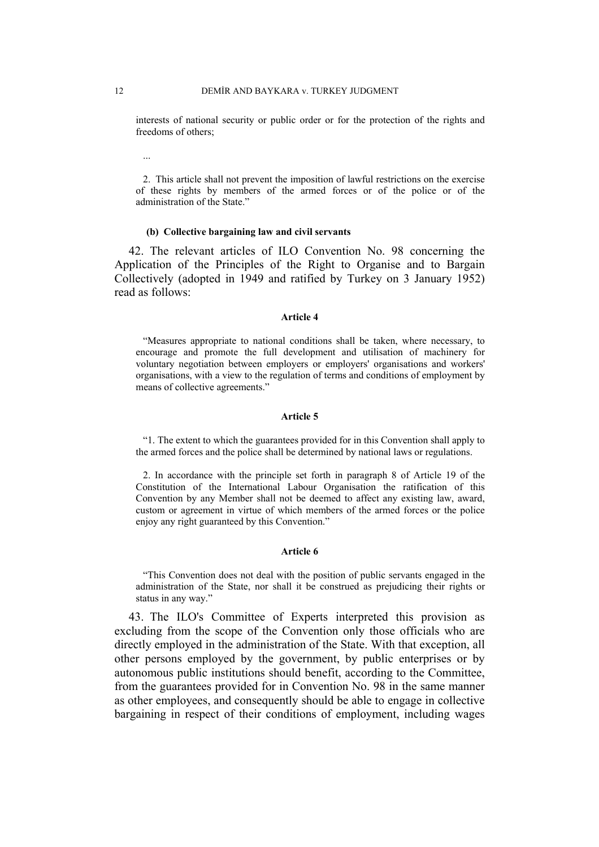interests of national security or public order or for the protection of the rights and freedoms of others;

2. This article shall not prevent the imposition of lawful restrictions on the exercise of these rights by members of the armed forces or of the police or of the administration of the State."

#### **(b) Collective bargaining law and civil servants**

42. The relevant articles of ILO Convention No. 98 concerning the Application of the Principles of the Right to Organise and to Bargain Collectively (adopted in 1949 and ratified by Turkey on 3 January 1952) read as follows:

#### **Article 4**

"Measures appropriate to national conditions shall be taken, where necessary, to encourage and promote the full development and utilisation of machinery for voluntary negotiation between employers or employers' organisations and workers' organisations, with a view to the regulation of terms and conditions of employment by means of collective agreements."

#### **Article 5**

"1. The extent to which the guarantees provided for in this Convention shall apply to the armed forces and the police shall be determined by national laws or regulations.

2. In accordance with the principle set forth in paragraph 8 of Article 19 of the Constitution of the International Labour Organisation the ratification of this Convention by any Member shall not be deemed to affect any existing law, award, custom or agreement in virtue of which members of the armed forces or the police enjoy any right guaranteed by this Convention."

#### **Article 6**

"This Convention does not deal with the position of public servants engaged in the administration of the State, nor shall it be construed as prejudicing their rights or status in any way."

43. The ILO's Committee of Experts interpreted this provision as excluding from the scope of the Convention only those officials who are directly employed in the administration of the State. With that exception, all other persons employed by the government, by public enterprises or by autonomous public institutions should benefit, according to the Committee, from the guarantees provided for in Convention No. 98 in the same manner as other employees, and consequently should be able to engage in collective bargaining in respect of their conditions of employment, including wages

...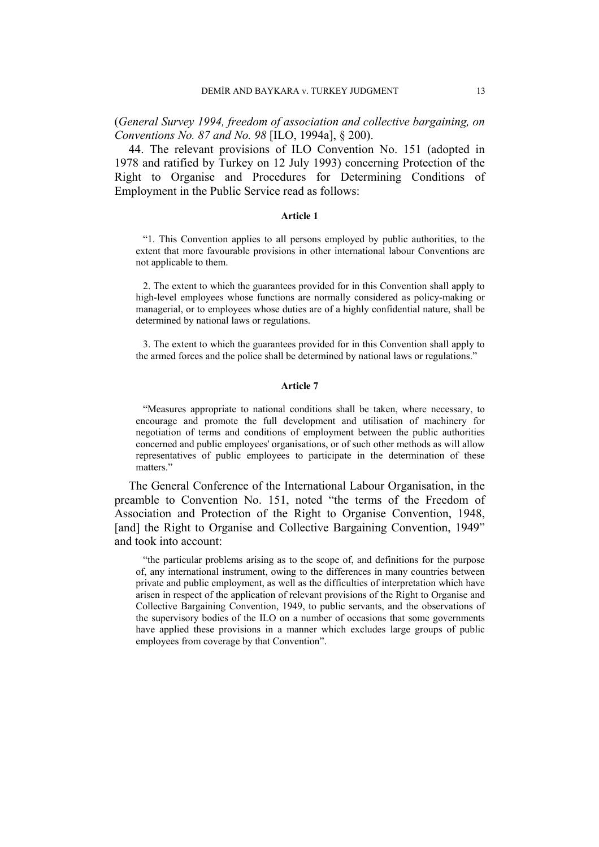(*General Survey 1994, freedom of association and collective bargaining, on Conventions No. 87 and No. 98* [ILO, 1994a], § 200).

44. The relevant provisions of ILO Convention No. 151 (adopted in 1978 and ratified by Turkey on 12 July 1993) concerning Protection of the Right to Organise and Procedures for Determining Conditions of Employment in the Public Service read as follows:

#### **Article 1**

"1. This Convention applies to all persons employed by public authorities, to the extent that more favourable provisions in other international labour Conventions are not applicable to them.

2. The extent to which the guarantees provided for in this Convention shall apply to high-level employees whose functions are normally considered as policy-making or managerial, or to employees whose duties are of a highly confidential nature, shall be determined by national laws or regulations.

3. The extent to which the guarantees provided for in this Convention shall apply to the armed forces and the police shall be determined by national laws or regulations."

#### **Article 7**

"Measures appropriate to national conditions shall be taken, where necessary, to encourage and promote the full development and utilisation of machinery for negotiation of terms and conditions of employment between the public authorities concerned and public employees' organisations, or of such other methods as will allow representatives of public employees to participate in the determination of these matters."

The General Conference of the International Labour Organisation, in the preamble to Convention No. 151, noted "the terms of the Freedom of Association and Protection of the Right to Organise Convention, 1948, [and] the Right to Organise and Collective Bargaining Convention, 1949" and took into account:

"the particular problems arising as to the scope of, and definitions for the purpose of, any international instrument, owing to the differences in many countries between private and public employment, as well as the difficulties of interpretation which have arisen in respect of the application of relevant provisions of the Right to Organise and Collective Bargaining Convention, 1949, to public servants, and the observations of the supervisory bodies of the ILO on a number of occasions that some governments have applied these provisions in a manner which excludes large groups of public employees from coverage by that Convention".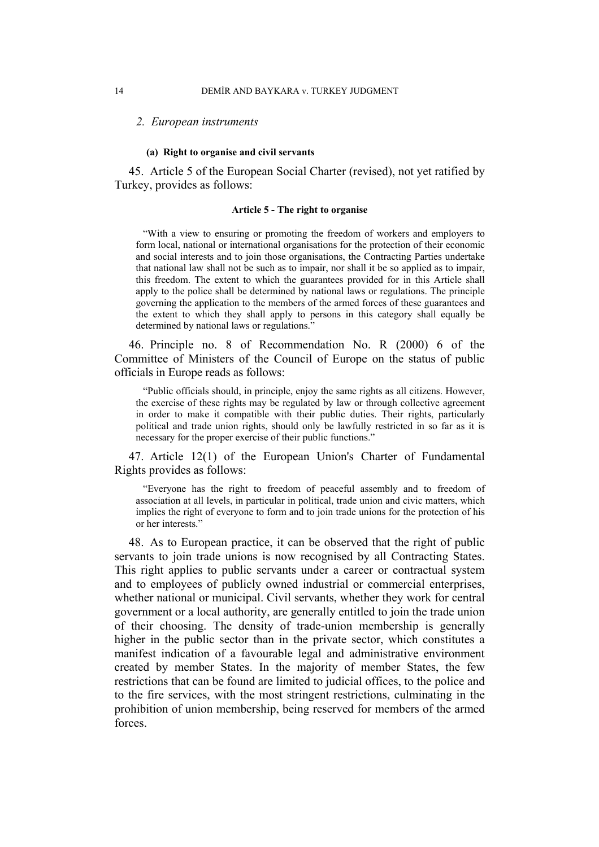#### *2. European instruments*

#### **(a) Right to organise and civil servants**

45. Article 5 of the European Social Charter (revised), not yet ratified by Turkey, provides as follows:

#### **Article 5 - The right to organise**

"With a view to ensuring or promoting the freedom of workers and employers to form local, national or international organisations for the protection of their economic and social interests and to join those organisations, the Contracting Parties undertake that national law shall not be such as to impair, nor shall it be so applied as to impair, this freedom. The extent to which the guarantees provided for in this Article shall apply to the police shall be determined by national laws or regulations. The principle governing the application to the members of the armed forces of these guarantees and the extent to which they shall apply to persons in this category shall equally be determined by national laws or regulations."

46. Principle no. 8 of Recommendation No. R (2000) 6 of the Committee of Ministers of the Council of Europe on the status of public officials in Europe reads as follows:

"Public officials should, in principle, enjoy the same rights as all citizens. However, the exercise of these rights may be regulated by law or through collective agreement in order to make it compatible with their public duties. Their rights, particularly political and trade union rights, should only be lawfully restricted in so far as it is necessary for the proper exercise of their public functions."

47. Article 12(1) of the European Union's Charter of Fundamental Rights provides as follows:

"Everyone has the right to freedom of peaceful assembly and to freedom of association at all levels, in particular in political, trade union and civic matters, which implies the right of everyone to form and to join trade unions for the protection of his or her interests."

48. As to European practice, it can be observed that the right of public servants to join trade unions is now recognised by all Contracting States. This right applies to public servants under a career or contractual system and to employees of publicly owned industrial or commercial enterprises, whether national or municipal. Civil servants, whether they work for central government or a local authority, are generally entitled to join the trade union of their choosing. The density of trade-union membership is generally higher in the public sector than in the private sector, which constitutes a manifest indication of a favourable legal and administrative environment created by member States. In the majority of member States, the few restrictions that can be found are limited to judicial offices, to the police and to the fire services, with the most stringent restrictions, culminating in the prohibition of union membership, being reserved for members of the armed forces.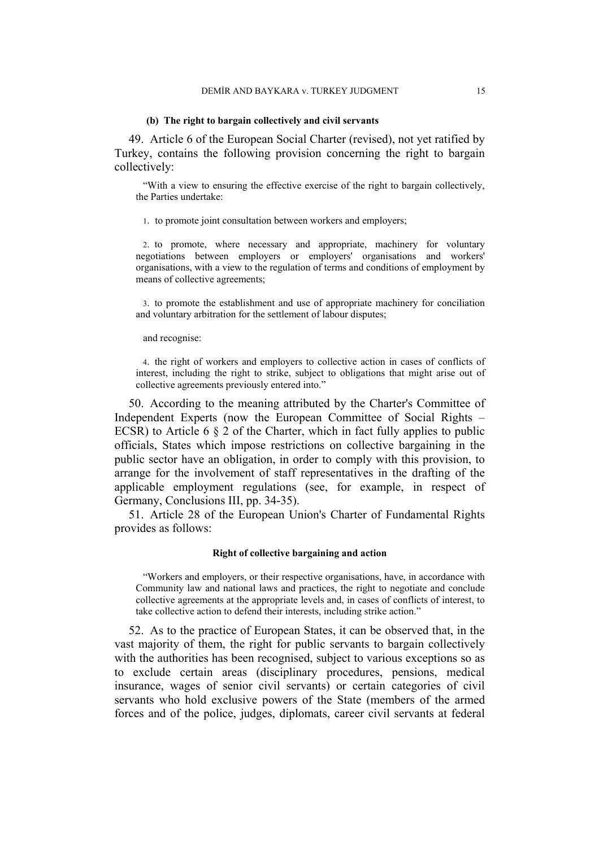#### **(b) The right to bargain collectively and civil servants**

49. Article 6 of the European Social Charter (revised), not yet ratified by Turkey, contains the following provision concerning the right to bargain collectively:

"With a view to ensuring the effective exercise of the right to bargain collectively, the Parties undertake:

1. to promote joint consultation between workers and employers;

2. to promote, where necessary and appropriate, machinery for voluntary negotiations between employers or employers' organisations and workers' organisations, with a view to the regulation of terms and conditions of employment by means of collective agreements;

3. to promote the establishment and use of appropriate machinery for conciliation and voluntary arbitration for the settlement of labour disputes;

#### and recognise:

4. the right of workers and employers to collective action in cases of conflicts of interest, including the right to strike, subject to obligations that might arise out of collective agreements previously entered into."

50. According to the meaning attributed by the Charter's Committee of Independent Experts (now the European Committee of Social Rights – ECSR) to Article 6  $\S$  2 of the Charter, which in fact fully applies to public officials, States which impose restrictions on collective bargaining in the public sector have an obligation, in order to comply with this provision, to arrange for the involvement of staff representatives in the drafting of the applicable employment regulations (see, for example, in respect of Germany, Conclusions III, pp. 34-35).

51. Article 28 of the European Union's Charter of Fundamental Rights provides as follows:

#### **Right of collective bargaining and action**

"Workers and employers, or their respective organisations, have, in accordance with Community law and national laws and practices, the right to negotiate and conclude collective agreements at the appropriate levels and, in cases of conflicts of interest, to take collective action to defend their interests, including strike action."

52. As to the practice of European States, it can be observed that, in the vast majority of them, the right for public servants to bargain collectively with the authorities has been recognised, subject to various exceptions so as to exclude certain areas (disciplinary procedures, pensions, medical insurance, wages of senior civil servants) or certain categories of civil servants who hold exclusive powers of the State (members of the armed forces and of the police, judges, diplomats, career civil servants at federal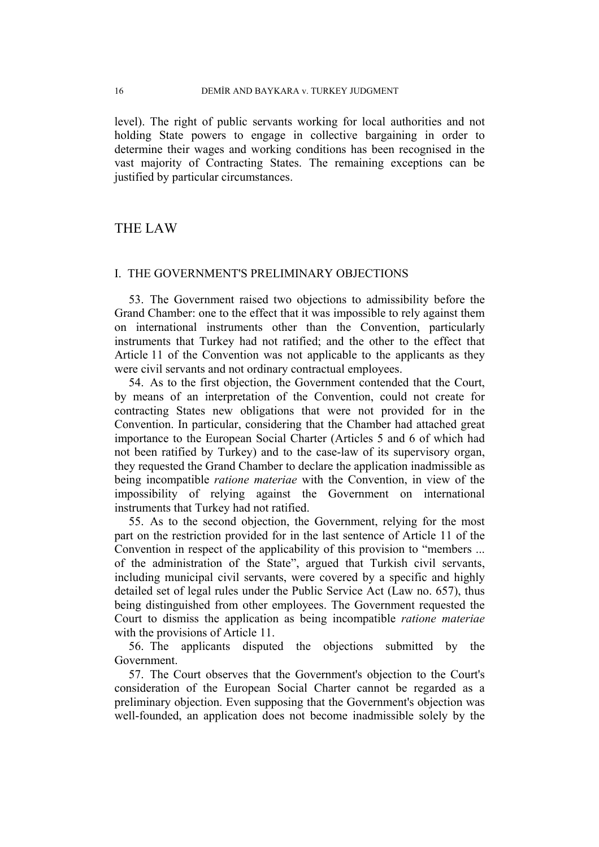level). The right of public servants working for local authorities and not holding State powers to engage in collective bargaining in order to determine their wages and working conditions has been recognised in the vast majority of Contracting States. The remaining exceptions can be justified by particular circumstances.

# THE LAW

### I. THE GOVERNMENT'S PRELIMINARY OBJECTIONS

53. The Government raised two objections to admissibility before the Grand Chamber: one to the effect that it was impossible to rely against them on international instruments other than the Convention, particularly instruments that Turkey had not ratified; and the other to the effect that Article 11 of the Convention was not applicable to the applicants as they were civil servants and not ordinary contractual employees.

54. As to the first objection, the Government contended that the Court, by means of an interpretation of the Convention, could not create for contracting States new obligations that were not provided for in the Convention. In particular, considering that the Chamber had attached great importance to the European Social Charter (Articles 5 and 6 of which had not been ratified by Turkey) and to the case-law of its supervisory organ, they requested the Grand Chamber to declare the application inadmissible as being incompatible *ratione materiae* with the Convention, in view of the impossibility of relying against the Government on international instruments that Turkey had not ratified.

55. As to the second objection, the Government, relying for the most part on the restriction provided for in the last sentence of Article 11 of the Convention in respect of the applicability of this provision to "members ... of the administration of the State", argued that Turkish civil servants, including municipal civil servants, were covered by a specific and highly detailed set of legal rules under the Public Service Act (Law no. 657), thus being distinguished from other employees. The Government requested the Court to dismiss the application as being incompatible *ratione materiae* with the provisions of Article 11.

56. The applicants disputed the objections submitted by the Government.

57. The Court observes that the Government's objection to the Court's consideration of the European Social Charter cannot be regarded as a preliminary objection. Even supposing that the Government's objection was well-founded, an application does not become inadmissible solely by the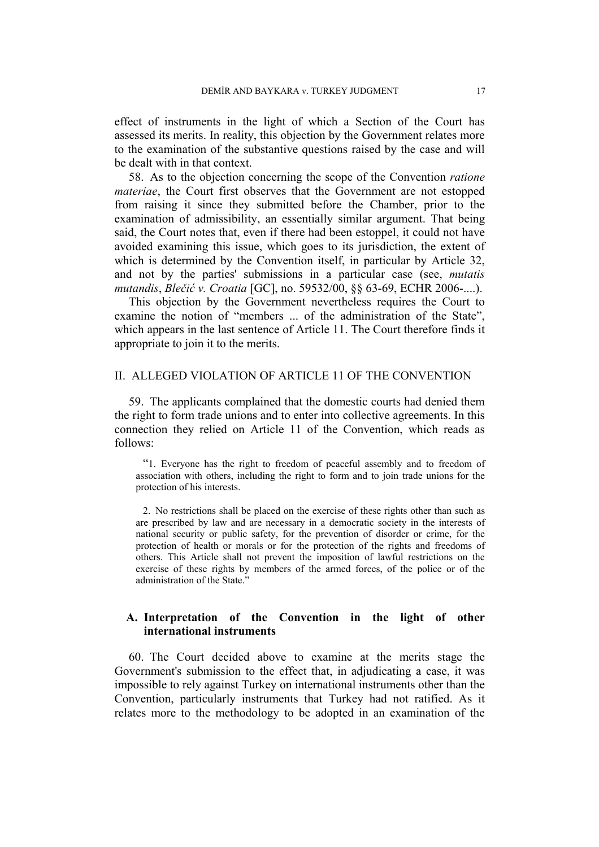effect of instruments in the light of which a Section of the Court has assessed its merits. In reality, this objection by the Government relates more to the examination of the substantive questions raised by the case and will be dealt with in that context.

58. As to the objection concerning the scope of the Convention *ratione materiae*, the Court first observes that the Government are not estopped from raising it since they submitted before the Chamber, prior to the examination of admissibility, an essentially similar argument. That being said, the Court notes that, even if there had been estoppel, it could not have avoided examining this issue, which goes to its jurisdiction, the extent of which is determined by the Convention itself, in particular by Article 32, and not by the parties' submissions in a particular case (see, *mutatis mutandis*, *Blečić v. Croatia* [GC], no. 59532/00, §§ 63-69, ECHR 2006-....).

This objection by the Government nevertheless requires the Court to examine the notion of "members ... of the administration of the State", which appears in the last sentence of Article 11. The Court therefore finds it appropriate to join it to the merits.

### II. ALLEGED VIOLATION OF ARTICLE 11 OF THE CONVENTION

59. The applicants complained that the domestic courts had denied them the right to form trade unions and to enter into collective agreements. In this connection they relied on Article 11 of the Convention, which reads as follows:

"1. Everyone has the right to freedom of peaceful assembly and to freedom of association with others, including the right to form and to join trade unions for the protection of his interests.

2. No restrictions shall be placed on the exercise of these rights other than such as are prescribed by law and are necessary in a democratic society in the interests of national security or public safety, for the prevention of disorder or crime, for the protection of health or morals or for the protection of the rights and freedoms of others. This Article shall not prevent the imposition of lawful restrictions on the exercise of these rights by members of the armed forces, of the police or of the administration of the State."

### **A. Interpretation of the Convention in the light of other international instruments**

60. The Court decided above to examine at the merits stage the Government's submission to the effect that, in adjudicating a case, it was impossible to rely against Turkey on international instruments other than the Convention, particularly instruments that Turkey had not ratified. As it relates more to the methodology to be adopted in an examination of the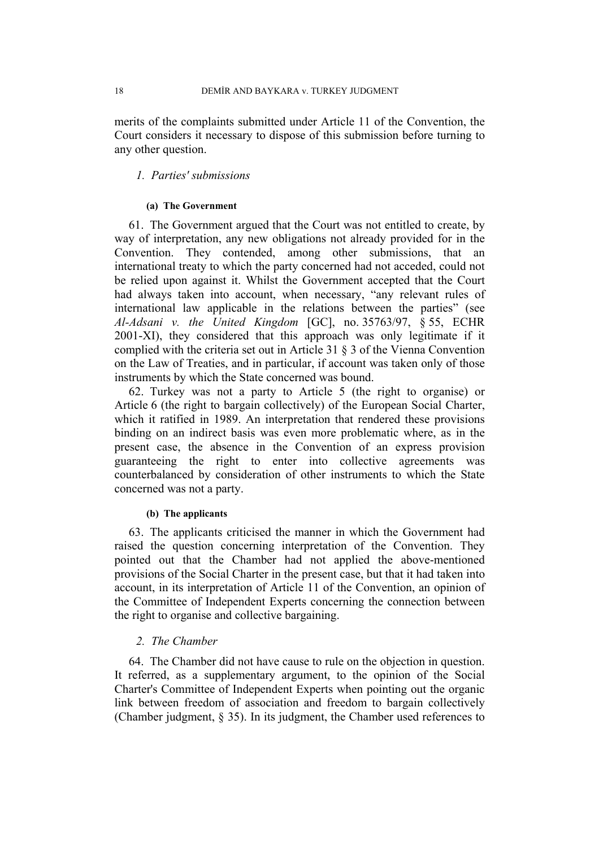merits of the complaints submitted under Article 11 of the Convention, the Court considers it necessary to dispose of this submission before turning to any other question.

### *1. Parties' submissions*

### **(a) The Government**

61. The Government argued that the Court was not entitled to create, by way of interpretation, any new obligations not already provided for in the Convention. They contended, among other submissions, that an international treaty to which the party concerned had not acceded, could not be relied upon against it. Whilst the Government accepted that the Court had always taken into account, when necessary, "any relevant rules of international law applicable in the relations between the parties" (see *Al-Adsani v. the United Kingdom* [GC], no. 35763/97, § 55, ECHR 2001-XI), they considered that this approach was only legitimate if it complied with the criteria set out in Article 31 § 3 of the Vienna Convention on the Law of Treaties, and in particular, if account was taken only of those instruments by which the State concerned was bound.

62. Turkey was not a party to Article 5 (the right to organise) or Article 6 (the right to bargain collectively) of the European Social Charter, which it ratified in 1989. An interpretation that rendered these provisions binding on an indirect basis was even more problematic where, as in the present case, the absence in the Convention of an express provision guaranteeing the right to enter into collective agreements was counterbalanced by consideration of other instruments to which the State concerned was not a party.

### **(b) The applicants**

63. The applicants criticised the manner in which the Government had raised the question concerning interpretation of the Convention. They pointed out that the Chamber had not applied the above-mentioned provisions of the Social Charter in the present case, but that it had taken into account, in its interpretation of Article 11 of the Convention, an opinion of the Committee of Independent Experts concerning the connection between the right to organise and collective bargaining.

### *2. The Chamber*

64. The Chamber did not have cause to rule on the objection in question. It referred, as a supplementary argument, to the opinion of the Social Charter's Committee of Independent Experts when pointing out the organic link between freedom of association and freedom to bargain collectively (Chamber judgment, § 35). In its judgment, the Chamber used references to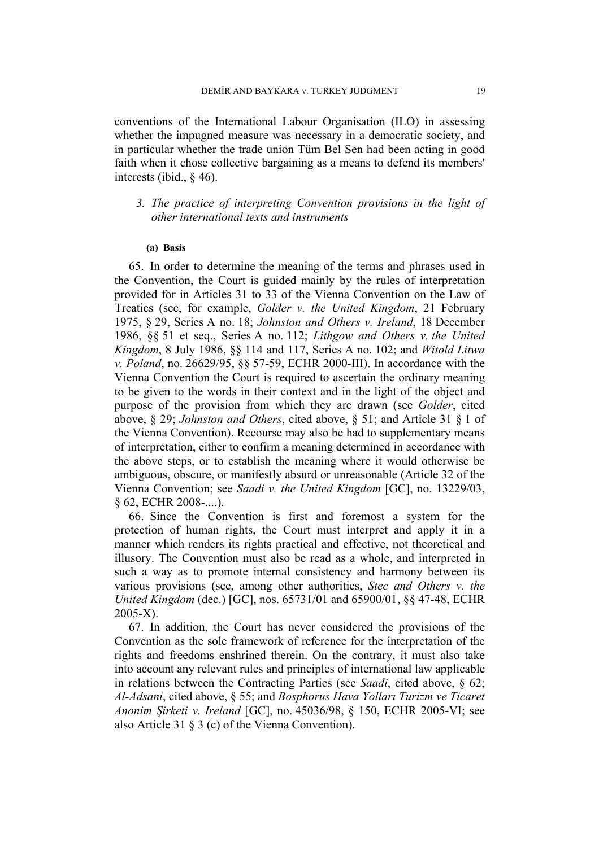conventions of the International Labour Organisation (ILO) in assessing whether the impugned measure was necessary in a democratic society, and in particular whether the trade union Tüm Bel Sen had been acting in good faith when it chose collective bargaining as a means to defend its members' interests (ibid., § 46).

# *3. The practice of interpreting Convention provisions in the light of other international texts and instruments*

#### **(a) Basis**

65. In order to determine the meaning of the terms and phrases used in the Convention, the Court is guided mainly by the rules of interpretation provided for in Articles 31 to 33 of the Vienna Convention on the Law of Treaties (see, for example, *Golder v. the United Kingdom*, 21 February 1975, § 29, Series A no. 18; *Johnston and Others v. Ireland*, 18 December 1986, §§ 51 et seq., Series A no. 112; *Lithgow and Others v. the United Kingdom*, 8 July 1986, §§ 114 and 117, Series A no. 102; and *Witold Litwa v. Poland*, no. 26629/95, §§ 57-59, ECHR 2000-III). In accordance with the Vienna Convention the Court is required to ascertain the ordinary meaning to be given to the words in their context and in the light of the object and purpose of the provision from which they are drawn (see *Golder*, cited above, § 29; *Johnston and Others*, cited above, § 51; and Article 31 § 1 of the Vienna Convention). Recourse may also be had to supplementary means of interpretation, either to confirm a meaning determined in accordance with the above steps, or to establish the meaning where it would otherwise be ambiguous, obscure, or manifestly absurd or unreasonable (Article 32 of the Vienna Convention; see *Saadi v. the United Kingdom* [GC], no. 13229/03, § 62, ECHR 2008-....).

66. Since the Convention is first and foremost a system for the protection of human rights, the Court must interpret and apply it in a manner which renders its rights practical and effective, not theoretical and illusory. The Convention must also be read as a whole, and interpreted in such a way as to promote internal consistency and harmony between its various provisions (see, among other authorities, *Stec and Others v. the United Kingdom* (dec.) [GC], nos. 65731/01 and 65900/01, §§ 47-48, ECHR 2005-X).

67. In addition, the Court has never considered the provisions of the Convention as the sole framework of reference for the interpretation of the rights and freedoms enshrined therein. On the contrary, it must also take into account any relevant rules and principles of international law applicable in relations between the Contracting Parties (see *Saadi*, cited above, § 62; *Al-Adsani*, cited above, § 55; and *Bosphorus Hava Yolları Turizm ve Ticaret Anonim Şirketi v. Ireland* [GC], no. 45036/98, § 150, ECHR 2005-VI; see also Article 31 § 3 (c) of the Vienna Convention).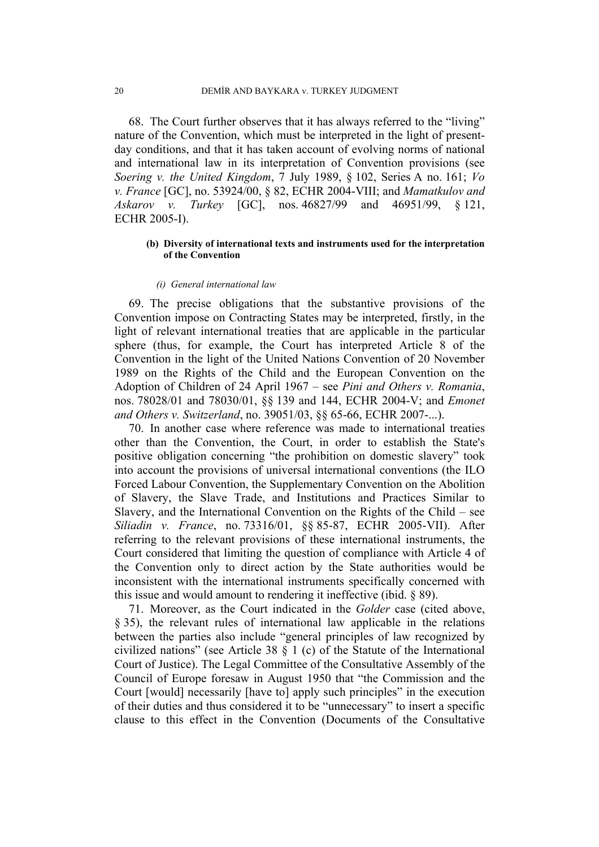68. The Court further observes that it has always referred to the "living" nature of the Convention, which must be interpreted in the light of presentday conditions, and that it has taken account of evolving norms of national and international law in its interpretation of Convention provisions (see *Soering v. the United Kingdom*, 7 July 1989, § 102, Series A no. 161; *Vo v. France* [GC], no. 53924/00, § 82, ECHR 2004-VIII; and *Mamatkulov and Askarov v. Turkey* [GC], nos. 46827/99 and 46951/99, § 121, ECHR 2005-I).

### **(b) Diversity of international texts and instruments used for the interpretation of the Convention**

#### *(i) General international law*

69. The precise obligations that the substantive provisions of the Convention impose on Contracting States may be interpreted, firstly, in the light of relevant international treaties that are applicable in the particular sphere (thus, for example, the Court has interpreted Article 8 of the Convention in the light of the United Nations Convention of 20 November 1989 on the Rights of the Child and the European Convention on the Adoption of Children of 24 April 1967 – see *Pini and Others v. Romania*, nos. 78028/01 and 78030/01, §§ 139 and 144, ECHR 2004-V; and *Emonet and Others v. Switzerland*, no. 39051/03, §§ 65-66, ECHR 2007-...).

70. In another case where reference was made to international treaties other than the Convention, the Court, in order to establish the State's positive obligation concerning "the prohibition on domestic slavery" took into account the provisions of universal international conventions (the ILO Forced Labour Convention, the Supplementary Convention on the Abolition of Slavery, the Slave Trade, and Institutions and Practices Similar to Slavery, and the International Convention on the Rights of the Child – see *Siliadin v. France*, no. 73316/01, §§ 85-87, ECHR 2005-VII). After referring to the relevant provisions of these international instruments, the Court considered that limiting the question of compliance with Article 4 of the Convention only to direct action by the State authorities would be inconsistent with the international instruments specifically concerned with this issue and would amount to rendering it ineffective (ibid. § 89).

71. Moreover, as the Court indicated in the *Golder* case (cited above, § 35), the relevant rules of international law applicable in the relations between the parties also include "general principles of law recognized by civilized nations" (see Article 38 § 1 (c) of the Statute of the International Court of Justice). The Legal Committee of the Consultative Assembly of the Council of Europe foresaw in August 1950 that "the Commission and the Court [would] necessarily [have to] apply such principles" in the execution of their duties and thus considered it to be "unnecessary" to insert a specific clause to this effect in the Convention (Documents of the Consultative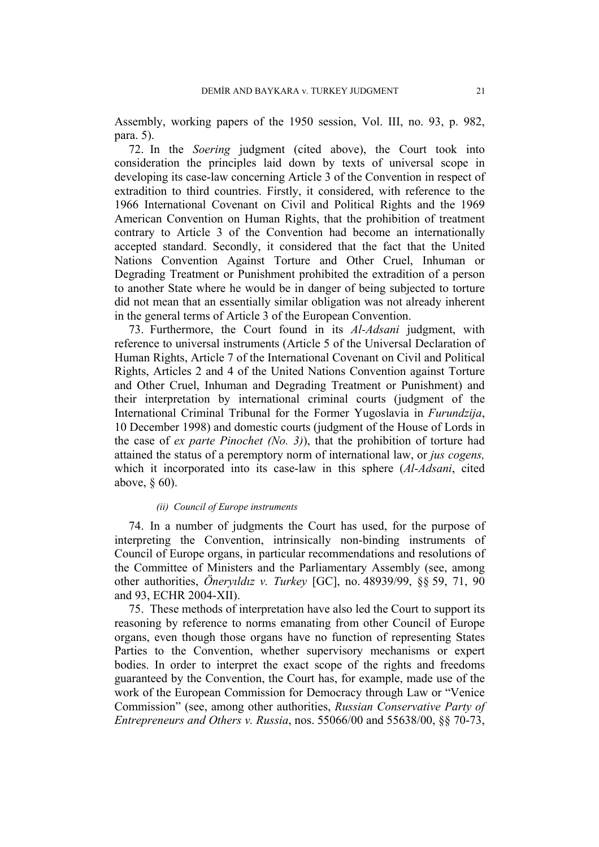Assembly, working papers of the 1950 session, Vol. III, no. 93, p. 982, para. 5).

72. In the *Soering* judgment (cited above), the Court took into consideration the principles laid down by texts of universal scope in developing its case-law concerning Article 3 of the Convention in respect of extradition to third countries. Firstly, it considered, with reference to the 1966 International Covenant on Civil and Political Rights and the 1969 American Convention on Human Rights, that the prohibition of treatment contrary to Article 3 of the Convention had become an internationally accepted standard. Secondly, it considered that the fact that the United Nations Convention Against Torture and Other Cruel, Inhuman or Degrading Treatment or Punishment prohibited the extradition of a person to another State where he would be in danger of being subjected to torture did not mean that an essentially similar obligation was not already inherent in the general terms of Article 3 of the European Convention.

73. Furthermore, the Court found in its *Al-Adsani* judgment, with reference to universal instruments (Article 5 of the Universal Declaration of Human Rights, Article 7 of the International Covenant on Civil and Political Rights, Articles 2 and 4 of the United Nations Convention against Torture and Other Cruel, Inhuman and Degrading Treatment or Punishment) and their interpretation by international criminal courts (judgment of the International Criminal Tribunal for the Former Yugoslavia in *Furundzija*, 10 December 1998) and domestic courts (judgment of the House of Lords in the case of *ex parte Pinochet (No. 3)*), that the prohibition of torture had attained the status of a peremptory norm of international law, or *jus cogens,*  which it incorporated into its case-law in this sphere (*Al-Adsani*, cited above, § 60).

#### *(ii) Council of Europe instruments*

74. In a number of judgments the Court has used, for the purpose of interpreting the Convention, intrinsically non-binding instruments of Council of Europe organs, in particular recommendations and resolutions of the Committee of Ministers and the Parliamentary Assembly (see, among other authorities, *Öneryıldız v. Turkey* [GC], no. 48939/99, §§ 59, 71, 90 and 93, ECHR 2004-XII).

75. These methods of interpretation have also led the Court to support its reasoning by reference to norms emanating from other Council of Europe organs, even though those organs have no function of representing States Parties to the Convention, whether supervisory mechanisms or expert bodies. In order to interpret the exact scope of the rights and freedoms guaranteed by the Convention, the Court has, for example, made use of the work of the European Commission for Democracy through Law or "Venice Commission" (see, among other authorities, *Russian Conservative Party of Entrepreneurs and Others v. Russia*, nos. 55066/00 and 55638/00, §§ 70-73,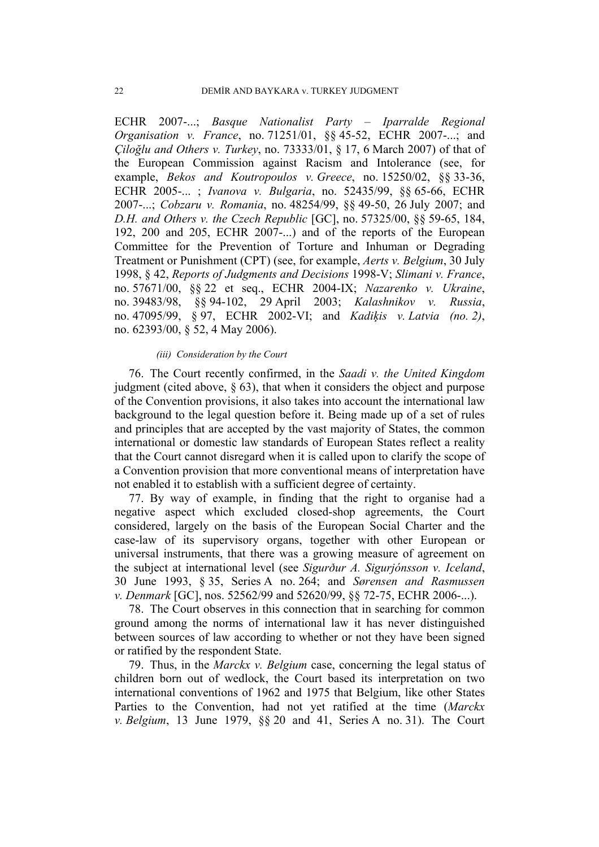ECHR 2007-...; *Basque Nationalist Party – Iparralde Regional Organisation v. France*, no. 71251/01, §§ 45-52, ECHR 2007-...; and *Çiloğlu and Others v. Turkey*, no. 73333/01, § 17, 6 March 2007) of that of the European Commission against Racism and Intolerance (see, for example, *Bekos and Koutropoulos v. Greece*, no. 15250/02, §§ 33-36, ECHR 2005-... ; *Ivanova v. Bulgaria*, no. 52435/99, §§ 65-66, ECHR 2007-...; *Cobzaru v. Romania*, no. 48254/99, §§ 49-50, 26 July 2007; and *D.H. and Others v. the Czech Republic* [GC], no. 57325/00, §§ 59-65, 184, 192, 200 and 205, ECHR 2007-...) and of the reports of the European Committee for the Prevention of Torture and Inhuman or Degrading Treatment or Punishment (CPT) (see, for example, *Aerts v. Belgium*, 30 July 1998, § 42, *Reports of Judgments and Decisions* 1998-V; *Slimani v. France*, no. 57671/00, §§ 22 et seq., ECHR 2004-IX; *Nazarenko v. Ukraine*, no. 39483/98, §§ 94-102, 29 April 2003; *Kalashnikov v. Russia*, no. 47095/99, § 97, ECHR 2002-VI; and *Kadiķis v. Latvia (no. 2)*, no. 62393/00, § 52, 4 May 2006).

#### *(iii) Consideration by the Court*

76. The Court recently confirmed, in the *Saadi v. the United Kingdom* judgment (cited above, § 63), that when it considers the object and purpose of the Convention provisions, it also takes into account the international law background to the legal question before it. Being made up of a set of rules and principles that are accepted by the vast majority of States, the common international or domestic law standards of European States reflect a reality that the Court cannot disregard when it is called upon to clarify the scope of a Convention provision that more conventional means of interpretation have not enabled it to establish with a sufficient degree of certainty.

77. By way of example, in finding that the right to organise had a negative aspect which excluded closed-shop agreements, the Court considered, largely on the basis of the European Social Charter and the case-law of its supervisory organs, together with other European or universal instruments, that there was a growing measure of agreement on the subject at international level (see *Sigurður A. Sigurjónsson v. Iceland*, 30 June 1993, § 35, Series A no. 264; and *Sørensen and Rasmussen v. Denmark* [GC], nos. 52562/99 and 52620/99, §§ 72-75, ECHR 2006-...).

78. The Court observes in this connection that in searching for common ground among the norms of international law it has never distinguished between sources of law according to whether or not they have been signed or ratified by the respondent State.

79. Thus, in the *Marckx v. Belgium* case, concerning the legal status of children born out of wedlock, the Court based its interpretation on two international conventions of 1962 and 1975 that Belgium, like other States Parties to the Convention, had not yet ratified at the time (*Marckx v. Belgium*, 13 June 1979, §§ 20 and 41, Series A no. 31). The Court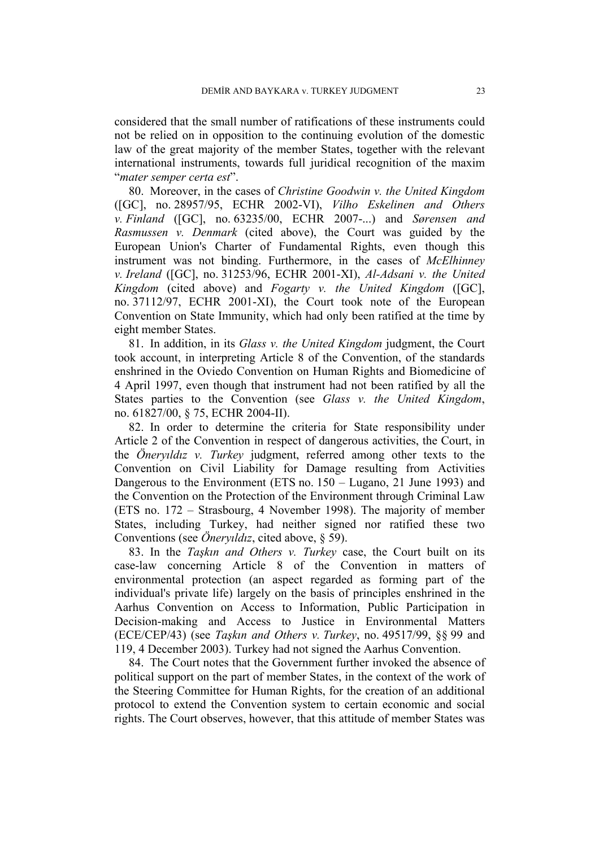considered that the small number of ratifications of these instruments could not be relied on in opposition to the continuing evolution of the domestic law of the great majority of the member States, together with the relevant international instruments, towards full juridical recognition of the maxim "*mater semper certa est*".

80. Moreover, in the cases of *Christine Goodwin v. the United Kingdom* ([GC], no. 28957/95, ECHR 2002-VI), *Vilho Eskelinen and Others v. Finland* ([GC], no. 63235/00, ECHR 2007-...) and *Sørensen and Rasmussen v. Denmark* (cited above), the Court was guided by the European Union's Charter of Fundamental Rights, even though this instrument was not binding. Furthermore, in the cases of *McElhinney v. Ireland* ([GC], no. 31253/96, ECHR 2001-XI), *Al-Adsani v. the United Kingdom* (cited above) and *Fogarty v. the United Kingdom* ([GC], no. 37112/97, ECHR 2001-XI), the Court took note of the European Convention on State Immunity, which had only been ratified at the time by eight member States.

81. In addition, in its *Glass v. the United Kingdom* judgment, the Court took account, in interpreting Article 8 of the Convention, of the standards enshrined in the Oviedo Convention on Human Rights and Biomedicine of 4 April 1997, even though that instrument had not been ratified by all the States parties to the Convention (see *Glass v. the United Kingdom*, no. 61827/00, § 75, ECHR 2004-II).

82. In order to determine the criteria for State responsibility under Article 2 of the Convention in respect of dangerous activities, the Court, in the *Öneryıldız v. Turkey* judgment, referred among other texts to the Convention on Civil Liability for Damage resulting from Activities Dangerous to the Environment (ETS no. 150 – Lugano, 21 June 1993) and the Convention on the Protection of the Environment through Criminal Law (ETS no. 172 – Strasbourg, 4 November 1998). The majority of member States, including Turkey, had neither signed nor ratified these two Conventions (see *Öneryıldız*, cited above, § 59).

83. In the *Taşkın and Others v. Turkey* case, the Court built on its case-law concerning Article 8 of the Convention in matters of environmental protection (an aspect regarded as forming part of the individual's private life) largely on the basis of principles enshrined in the Aarhus Convention on Access to Information, Public Participation in Decision-making and Access to Justice in Environmental Matters (ECE/CEP/43) (see *Taşkın and Others v. Turkey*, no. 49517/99, §§ 99 and 119, 4 December 2003). Turkey had not signed the Aarhus Convention.

84. The Court notes that the Government further invoked the absence of political support on the part of member States, in the context of the work of the Steering Committee for Human Rights, for the creation of an additional protocol to extend the Convention system to certain economic and social rights. The Court observes, however, that this attitude of member States was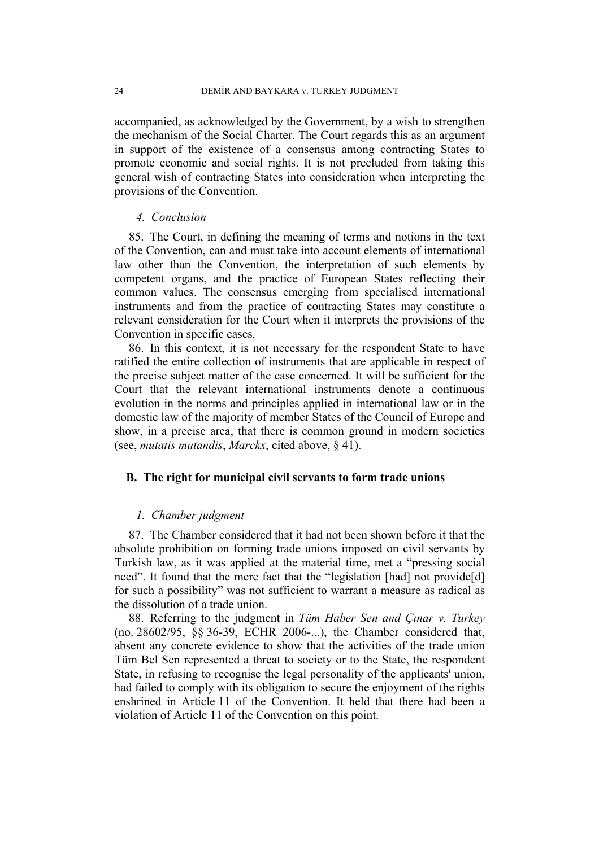accompanied, as acknowledged by the Government, by a wish to strengthen the mechanism of the Social Charter. The Court regards this as an argument in support of the existence of a consensus among contracting States to promote economic and social rights. It is not precluded from taking this general wish of contracting States into consideration when interpreting the provisions of the Convention.

### *4. Conclusion*

85. The Court, in defining the meaning of terms and notions in the text of the Convention, can and must take into account elements of international law other than the Convention, the interpretation of such elements by competent organs, and the practice of European States reflecting their common values. The consensus emerging from specialised international instruments and from the practice of contracting States may constitute a relevant consideration for the Court when it interprets the provisions of the Convention in specific cases.

86. In this context, it is not necessary for the respondent State to have ratified the entire collection of instruments that are applicable in respect of the precise subject matter of the case concerned. It will be sufficient for the Court that the relevant international instruments denote a continuous evolution in the norms and principles applied in international law or in the domestic law of the majority of member States of the Council of Europe and show, in a precise area, that there is common ground in modern societies (see, *mutatis mutandis*, *Marckx*, cited above, § 41).

### **B. The right for municipal civil servants to form trade unions**

### *1. Chamber judgment*

87. The Chamber considered that it had not been shown before it that the absolute prohibition on forming trade unions imposed on civil servants by Turkish law, as it was applied at the material time, met a "pressing social need". It found that the mere fact that the "legislation [had] not provide[d] for such a possibility" was not sufficient to warrant a measure as radical as the dissolution of a trade union.

88. Referring to the judgment in *Tüm Haber Sen and Çınar v. Turkey* (no. 28602/95, §§ 36-39, ECHR 2006-...), the Chamber considered that, absent any concrete evidence to show that the activities of the trade union Tüm Bel Sen represented a threat to society or to the State, the respondent State, in refusing to recognise the legal personality of the applicants' union, had failed to comply with its obligation to secure the enjoyment of the rights enshrined in Article 11 of the Convention. It held that there had been a violation of Article 11 of the Convention on this point.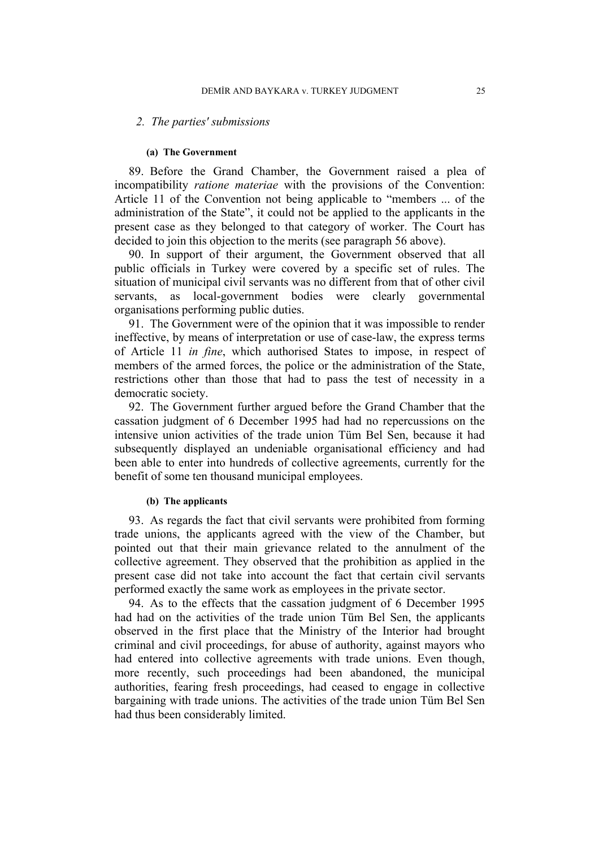#### *2. The parties' submissions*

#### **(a) The Government**

89. Before the Grand Chamber, the Government raised a plea of incompatibility *ratione materiae* with the provisions of the Convention: Article 11 of the Convention not being applicable to "members ... of the administration of the State", it could not be applied to the applicants in the present case as they belonged to that category of worker. The Court has decided to join this objection to the merits (see paragraph 56 above).

90. In support of their argument, the Government observed that all public officials in Turkey were covered by a specific set of rules. The situation of municipal civil servants was no different from that of other civil servants, as local-government bodies were clearly governmental organisations performing public duties.

91. The Government were of the opinion that it was impossible to render ineffective, by means of interpretation or use of case-law, the express terms of Article 11 *in fine*, which authorised States to impose, in respect of members of the armed forces, the police or the administration of the State, restrictions other than those that had to pass the test of necessity in a democratic society.

92. The Government further argued before the Grand Chamber that the cassation judgment of 6 December 1995 had had no repercussions on the intensive union activities of the trade union Tüm Bel Sen, because it had subsequently displayed an undeniable organisational efficiency and had been able to enter into hundreds of collective agreements, currently for the benefit of some ten thousand municipal employees.

### **(b) The applicants**

93. As regards the fact that civil servants were prohibited from forming trade unions, the applicants agreed with the view of the Chamber, but pointed out that their main grievance related to the annulment of the collective agreement. They observed that the prohibition as applied in the present case did not take into account the fact that certain civil servants performed exactly the same work as employees in the private sector.

94. As to the effects that the cassation judgment of 6 December 1995 had had on the activities of the trade union Tüm Bel Sen, the applicants observed in the first place that the Ministry of the Interior had brought criminal and civil proceedings, for abuse of authority, against mayors who had entered into collective agreements with trade unions. Even though, more recently, such proceedings had been abandoned, the municipal authorities, fearing fresh proceedings, had ceased to engage in collective bargaining with trade unions. The activities of the trade union Tüm Bel Sen had thus been considerably limited.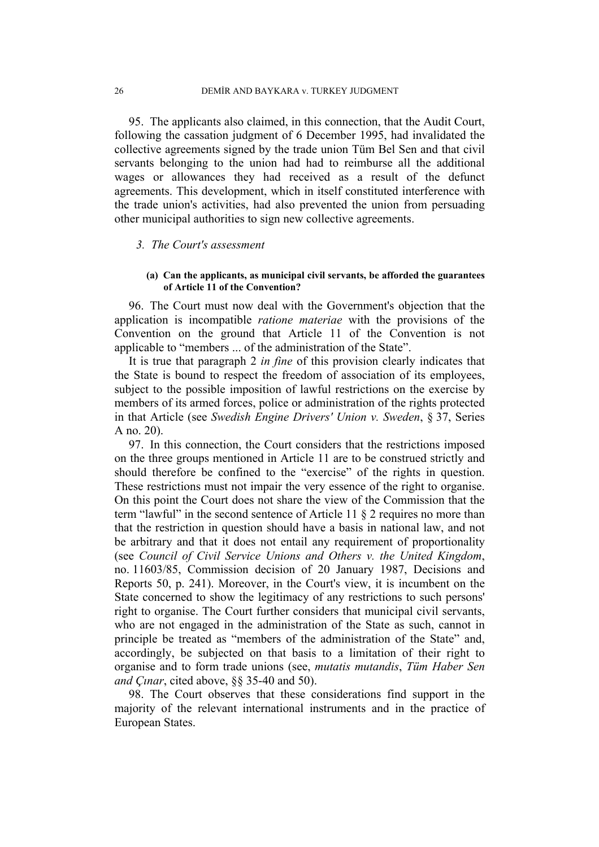95. The applicants also claimed, in this connection, that the Audit Court, following the cassation judgment of 6 December 1995, had invalidated the collective agreements signed by the trade union Tüm Bel Sen and that civil servants belonging to the union had had to reimburse all the additional wages or allowances they had received as a result of the defunct agreements. This development, which in itself constituted interference with the trade union's activities, had also prevented the union from persuading other municipal authorities to sign new collective agreements.

#### *3. The Court's assessment*

### **(a) Can the applicants, as municipal civil servants, be afforded the guarantees of Article 11 of the Convention?**

96. The Court must now deal with the Government's objection that the application is incompatible *ratione materiae* with the provisions of the Convention on the ground that Article 11 of the Convention is not applicable to "members ... of the administration of the State".

It is true that paragraph 2 *in fine* of this provision clearly indicates that the State is bound to respect the freedom of association of its employees, subject to the possible imposition of lawful restrictions on the exercise by members of its armed forces, police or administration of the rights protected in that Article (see *Swedish Engine Drivers' Union v. Sweden*, § 37, Series A no. 20).

97. In this connection, the Court considers that the restrictions imposed on the three groups mentioned in Article 11 are to be construed strictly and should therefore be confined to the "exercise" of the rights in question. These restrictions must not impair the very essence of the right to organise. On this point the Court does not share the view of the Commission that the term "lawful" in the second sentence of Article 11 § 2 requires no more than that the restriction in question should have a basis in national law, and not be arbitrary and that it does not entail any requirement of proportionality (see *Council of Civil Service Unions and Others v. the United Kingdom*, no. 11603/85, Commission decision of 20 January 1987, Decisions and Reports 50, p. 241). Moreover, in the Court's view, it is incumbent on the State concerned to show the legitimacy of any restrictions to such persons' right to organise. The Court further considers that municipal civil servants, who are not engaged in the administration of the State as such, cannot in principle be treated as "members of the administration of the State" and, accordingly, be subjected on that basis to a limitation of their right to organise and to form trade unions (see, *mutatis mutandis*, *Tüm Haber Sen and Çınar*, cited above, §§ 35-40 and 50).

98. The Court observes that these considerations find support in the majority of the relevant international instruments and in the practice of European States.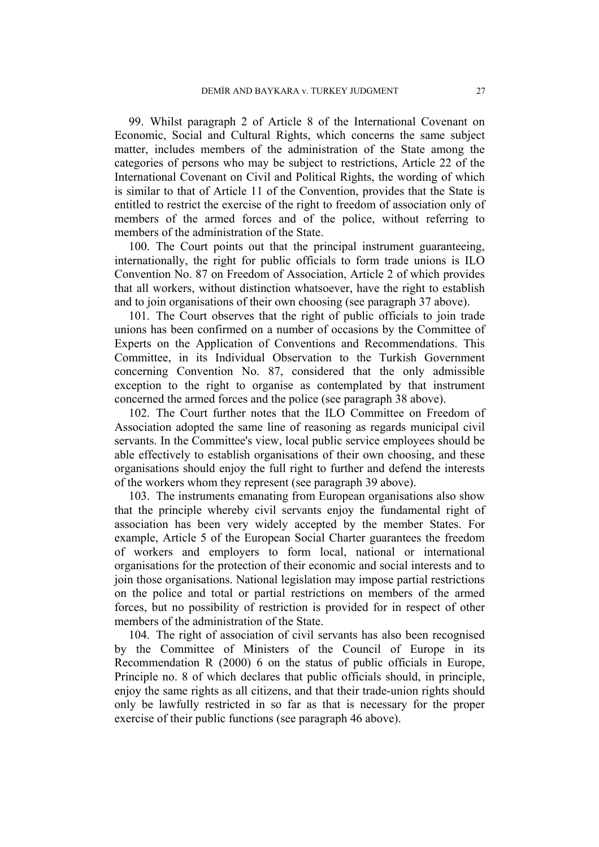99. Whilst paragraph 2 of Article 8 of the International Covenant on Economic, Social and Cultural Rights, which concerns the same subject matter, includes members of the administration of the State among the categories of persons who may be subject to restrictions, Article 22 of the International Covenant on Civil and Political Rights, the wording of which is similar to that of Article 11 of the Convention, provides that the State is entitled to restrict the exercise of the right to freedom of association only of members of the armed forces and of the police, without referring to members of the administration of the State.

100. The Court points out that the principal instrument guaranteeing, internationally, the right for public officials to form trade unions is ILO Convention No. 87 on Freedom of Association, Article 2 of which provides that all workers, without distinction whatsoever, have the right to establish and to join organisations of their own choosing (see paragraph 37 above).

101. The Court observes that the right of public officials to join trade unions has been confirmed on a number of occasions by the Committee of Experts on the Application of Conventions and Recommendations. This Committee, in its Individual Observation to the Turkish Government concerning Convention No. 87, considered that the only admissible exception to the right to organise as contemplated by that instrument concerned the armed forces and the police (see paragraph 38 above).

102. The Court further notes that the ILO Committee on Freedom of Association adopted the same line of reasoning as regards municipal civil servants. In the Committee's view, local public service employees should be able effectively to establish organisations of their own choosing, and these organisations should enjoy the full right to further and defend the interests of the workers whom they represent (see paragraph 39 above).

103. The instruments emanating from European organisations also show that the principle whereby civil servants enjoy the fundamental right of association has been very widely accepted by the member States. For example, Article 5 of the European Social Charter guarantees the freedom of workers and employers to form local, national or international organisations for the protection of their economic and social interests and to join those organisations. National legislation may impose partial restrictions on the police and total or partial restrictions on members of the armed forces, but no possibility of restriction is provided for in respect of other members of the administration of the State.

104. The right of association of civil servants has also been recognised by the Committee of Ministers of the Council of Europe in its Recommendation R (2000) 6 on the status of public officials in Europe, Principle no. 8 of which declares that public officials should, in principle, enjoy the same rights as all citizens, and that their trade-union rights should only be lawfully restricted in so far as that is necessary for the proper exercise of their public functions (see paragraph 46 above).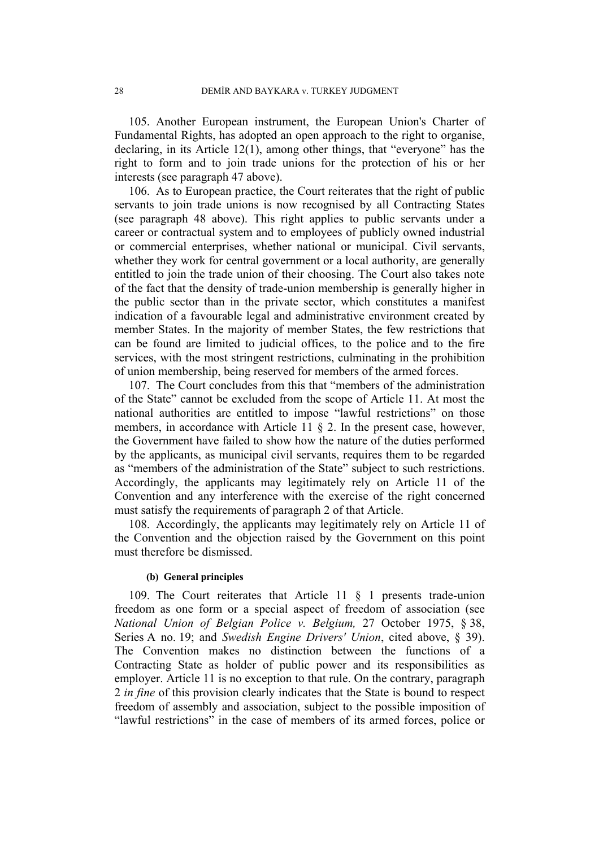105. Another European instrument, the European Union's Charter of Fundamental Rights, has adopted an open approach to the right to organise, declaring, in its Article 12(1), among other things, that "everyone" has the right to form and to join trade unions for the protection of his or her interests (see paragraph 47 above).

106. As to European practice, the Court reiterates that the right of public servants to join trade unions is now recognised by all Contracting States (see paragraph 48 above). This right applies to public servants under a career or contractual system and to employees of publicly owned industrial or commercial enterprises, whether national or municipal. Civil servants, whether they work for central government or a local authority, are generally entitled to join the trade union of their choosing. The Court also takes note of the fact that the density of trade-union membership is generally higher in the public sector than in the private sector, which constitutes a manifest indication of a favourable legal and administrative environment created by member States. In the majority of member States, the few restrictions that can be found are limited to judicial offices, to the police and to the fire services, with the most stringent restrictions, culminating in the prohibition of union membership, being reserved for members of the armed forces.

107. The Court concludes from this that "members of the administration of the State" cannot be excluded from the scope of Article 11. At most the national authorities are entitled to impose "lawful restrictions" on those members, in accordance with Article 11  $\S$  2. In the present case, however, the Government have failed to show how the nature of the duties performed by the applicants, as municipal civil servants, requires them to be regarded as "members of the administration of the State" subject to such restrictions. Accordingly, the applicants may legitimately rely on Article 11 of the Convention and any interference with the exercise of the right concerned must satisfy the requirements of paragraph 2 of that Article.

108. Accordingly, the applicants may legitimately rely on Article 11 of the Convention and the objection raised by the Government on this point must therefore be dismissed.

### **(b) General principles**

109. The Court reiterates that Article 11 § 1 presents trade-union freedom as one form or a special aspect of freedom of association (see *National Union of Belgian Police v. Belgium,* 27 October 1975, § 38, Series A no. 19; and *Swedish Engine Drivers' Union*, cited above, § 39). The Convention makes no distinction between the functions of a Contracting State as holder of public power and its responsibilities as employer. Article 11 is no exception to that rule. On the contrary, paragraph 2 *in fine* of this provision clearly indicates that the State is bound to respect freedom of assembly and association, subject to the possible imposition of "lawful restrictions" in the case of members of its armed forces, police or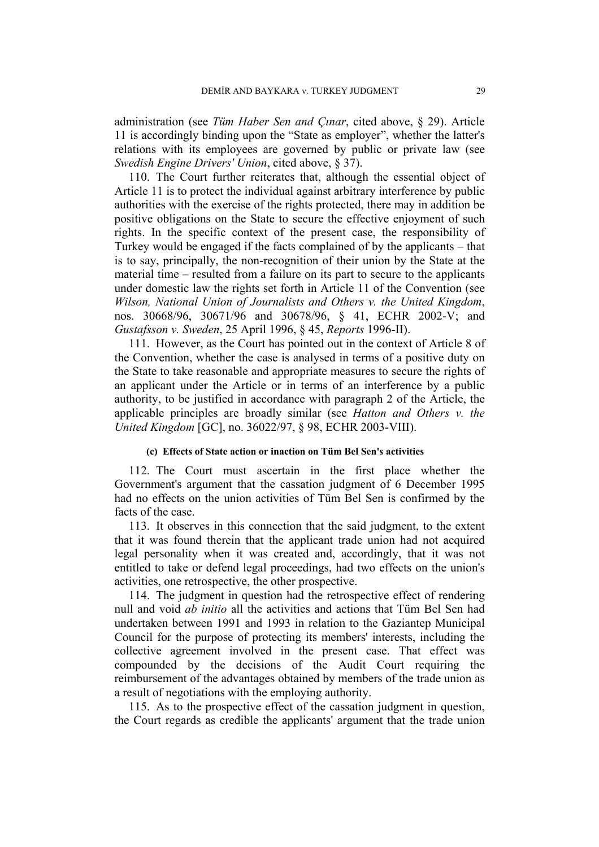administration (see *Tüm Haber Sen and Çınar*, cited above, § 29). Article 11 is accordingly binding upon the "State as employer", whether the latter's relations with its employees are governed by public or private law (see *Swedish Engine Drivers' Union*, cited above, § 37).

110. The Court further reiterates that, although the essential object of Article 11 is to protect the individual against arbitrary interference by public authorities with the exercise of the rights protected, there may in addition be positive obligations on the State to secure the effective enjoyment of such rights. In the specific context of the present case, the responsibility of Turkey would be engaged if the facts complained of by the applicants – that is to say, principally, the non-recognition of their union by the State at the material time – resulted from a failure on its part to secure to the applicants under domestic law the rights set forth in Article 11 of the Convention (see *Wilson, National Union of Journalists and Others v. the United Kingdom*, nos. 30668/96, 30671/96 and 30678/96, § 41, ECHR 2002-V; and *Gustafsson v. Sweden*, 25 April 1996, § 45, *Reports* 1996-II).

111. However, as the Court has pointed out in the context of Article 8 of the Convention, whether the case is analysed in terms of a positive duty on the State to take reasonable and appropriate measures to secure the rights of an applicant under the Article or in terms of an interference by a public authority, to be justified in accordance with paragraph 2 of the Article, the applicable principles are broadly similar (see *Hatton and Others v. the United Kingdom* [GC], no. 36022/97, § 98, ECHR 2003-VIII).

### **(c) Effects of State action or inaction on Tüm Bel Sen's activities**

112. The Court must ascertain in the first place whether the Government's argument that the cassation judgment of 6 December 1995 had no effects on the union activities of Tüm Bel Sen is confirmed by the facts of the case.

113. It observes in this connection that the said judgment, to the extent that it was found therein that the applicant trade union had not acquired legal personality when it was created and, accordingly, that it was not entitled to take or defend legal proceedings, had two effects on the union's activities, one retrospective, the other prospective.

114. The judgment in question had the retrospective effect of rendering null and void *ab initio* all the activities and actions that Tüm Bel Sen had undertaken between 1991 and 1993 in relation to the Gaziantep Municipal Council for the purpose of protecting its members' interests, including the collective agreement involved in the present case. That effect was compounded by the decisions of the Audit Court requiring the reimbursement of the advantages obtained by members of the trade union as a result of negotiations with the employing authority.

115. As to the prospective effect of the cassation judgment in question, the Court regards as credible the applicants' argument that the trade union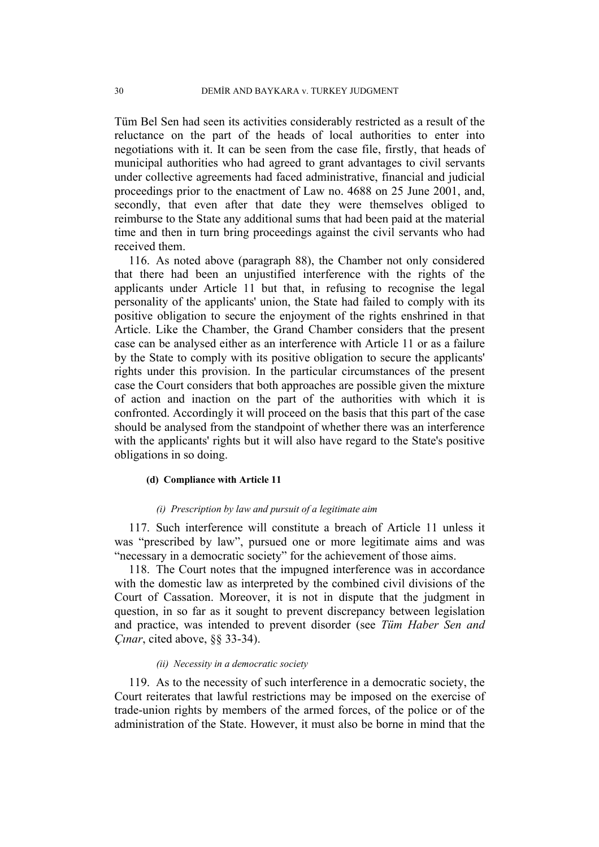Tüm Bel Sen had seen its activities considerably restricted as a result of the reluctance on the part of the heads of local authorities to enter into negotiations with it. It can be seen from the case file, firstly, that heads of municipal authorities who had agreed to grant advantages to civil servants under collective agreements had faced administrative, financial and judicial proceedings prior to the enactment of Law no. 4688 on 25 June 2001, and, secondly, that even after that date they were themselves obliged to reimburse to the State any additional sums that had been paid at the material time and then in turn bring proceedings against the civil servants who had received them.

116. As noted above (paragraph 88), the Chamber not only considered that there had been an unjustified interference with the rights of the applicants under Article 11 but that, in refusing to recognise the legal personality of the applicants' union, the State had failed to comply with its positive obligation to secure the enjoyment of the rights enshrined in that Article. Like the Chamber, the Grand Chamber considers that the present case can be analysed either as an interference with Article 11 or as a failure by the State to comply with its positive obligation to secure the applicants' rights under this provision. In the particular circumstances of the present case the Court considers that both approaches are possible given the mixture of action and inaction on the part of the authorities with which it is confronted. Accordingly it will proceed on the basis that this part of the case should be analysed from the standpoint of whether there was an interference with the applicants' rights but it will also have regard to the State's positive obligations in so doing.

#### **(d) Compliance with Article 11**

#### *(i) Prescription by law and pursuit of a legitimate aim*

117. Such interference will constitute a breach of Article 11 unless it was "prescribed by law", pursued one or more legitimate aims and was "necessary in a democratic society" for the achievement of those aims.

118. The Court notes that the impugned interference was in accordance with the domestic law as interpreted by the combined civil divisions of the Court of Cassation. Moreover, it is not in dispute that the judgment in question, in so far as it sought to prevent discrepancy between legislation and practice, was intended to prevent disorder (see *Tüm Haber Sen and Çınar*, cited above, §§ 33-34).

#### *(ii) Necessity in a democratic society*

119. As to the necessity of such interference in a democratic society, the Court reiterates that lawful restrictions may be imposed on the exercise of trade-union rights by members of the armed forces, of the police or of the administration of the State. However, it must also be borne in mind that the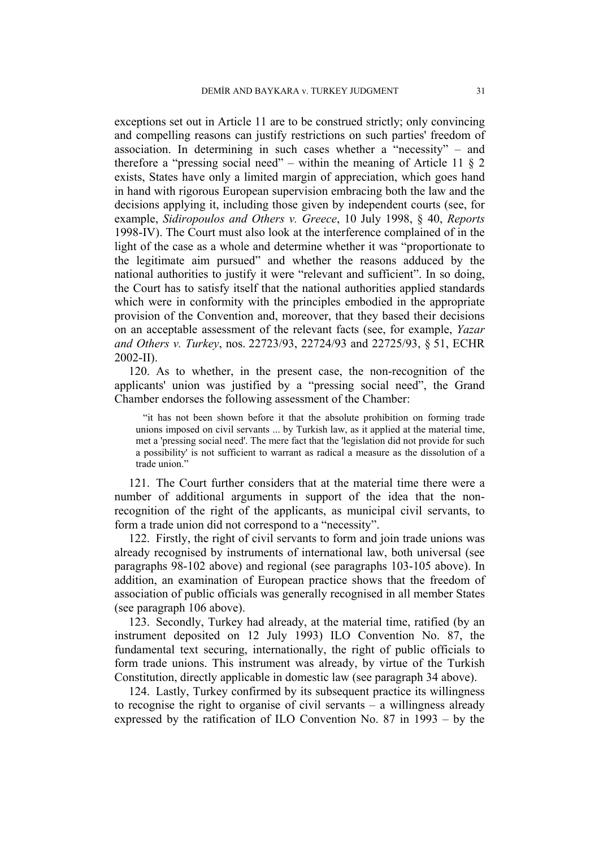exceptions set out in Article 11 are to be construed strictly; only convincing and compelling reasons can justify restrictions on such parties' freedom of association. In determining in such cases whether a "necessity" – and therefore a "pressing social need" – within the meaning of Article 11 § 2 exists, States have only a limited margin of appreciation, which goes hand in hand with rigorous European supervision embracing both the law and the decisions applying it, including those given by independent courts (see, for example, *Sidiropoulos and Others v. Greece*, 10 July 1998, § 40, *Reports* 1998-IV). The Court must also look at the interference complained of in the light of the case as a whole and determine whether it was "proportionate to the legitimate aim pursued" and whether the reasons adduced by the national authorities to justify it were "relevant and sufficient". In so doing, the Court has to satisfy itself that the national authorities applied standards which were in conformity with the principles embodied in the appropriate provision of the Convention and, moreover, that they based their decisions on an acceptable assessment of the relevant facts (see, for example, *Yazar and Others v. Turkey*, nos. 22723/93, 22724/93 and 22725/93, § 51, ECHR 2002-II).

120. As to whether, in the present case, the non-recognition of the applicants' union was justified by a "pressing social need", the Grand Chamber endorses the following assessment of the Chamber:

"it has not been shown before it that the absolute prohibition on forming trade unions imposed on civil servants ... by Turkish law, as it applied at the material time, met a 'pressing social need'. The mere fact that the 'legislation did not provide for such a possibility' is not sufficient to warrant as radical a measure as the dissolution of a trade union."

121. The Court further considers that at the material time there were a number of additional arguments in support of the idea that the nonrecognition of the right of the applicants, as municipal civil servants, to form a trade union did not correspond to a "necessity".

122. Firstly, the right of civil servants to form and join trade unions was already recognised by instruments of international law, both universal (see paragraphs 98-102 above) and regional (see paragraphs 103-105 above). In addition, an examination of European practice shows that the freedom of association of public officials was generally recognised in all member States (see paragraph 106 above).

123. Secondly, Turkey had already, at the material time, ratified (by an instrument deposited on 12 July 1993) ILO Convention No. 87, the fundamental text securing, internationally, the right of public officials to form trade unions. This instrument was already, by virtue of the Turkish Constitution, directly applicable in domestic law (see paragraph 34 above).

124. Lastly, Turkey confirmed by its subsequent practice its willingness to recognise the right to organise of civil servants – a willingness already expressed by the ratification of ILO Convention No. 87 in 1993 – by the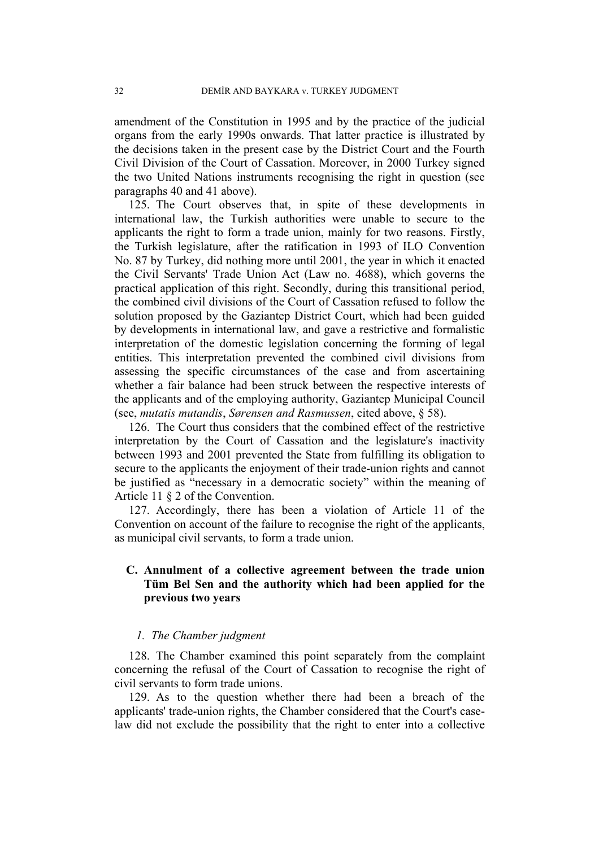amendment of the Constitution in 1995 and by the practice of the judicial organs from the early 1990s onwards. That latter practice is illustrated by the decisions taken in the present case by the District Court and the Fourth Civil Division of the Court of Cassation. Moreover, in 2000 Turkey signed the two United Nations instruments recognising the right in question (see paragraphs 40 and 41 above).

125. The Court observes that, in spite of these developments in international law, the Turkish authorities were unable to secure to the applicants the right to form a trade union, mainly for two reasons. Firstly, the Turkish legislature, after the ratification in 1993 of ILO Convention No. 87 by Turkey, did nothing more until 2001, the year in which it enacted the Civil Servants' Trade Union Act (Law no. 4688), which governs the practical application of this right. Secondly, during this transitional period, the combined civil divisions of the Court of Cassation refused to follow the solution proposed by the Gaziantep District Court, which had been guided by developments in international law, and gave a restrictive and formalistic interpretation of the domestic legislation concerning the forming of legal entities. This interpretation prevented the combined civil divisions from assessing the specific circumstances of the case and from ascertaining whether a fair balance had been struck between the respective interests of the applicants and of the employing authority, Gaziantep Municipal Council (see, *mutatis mutandis*, *Sørensen and Rasmussen*, cited above, § 58).

126. The Court thus considers that the combined effect of the restrictive interpretation by the Court of Cassation and the legislature's inactivity between 1993 and 2001 prevented the State from fulfilling its obligation to secure to the applicants the enjoyment of their trade-union rights and cannot be justified as "necessary in a democratic society" within the meaning of Article 11 § 2 of the Convention.

127. Accordingly, there has been a violation of Article 11 of the Convention on account of the failure to recognise the right of the applicants, as municipal civil servants, to form a trade union.

# **C. Annulment of a collective agreement between the trade union Tüm Bel Sen and the authority which had been applied for the previous two years**

### *1. The Chamber judgment*

128. The Chamber examined this point separately from the complaint concerning the refusal of the Court of Cassation to recognise the right of civil servants to form trade unions.

129. As to the question whether there had been a breach of the applicants' trade-union rights, the Chamber considered that the Court's caselaw did not exclude the possibility that the right to enter into a collective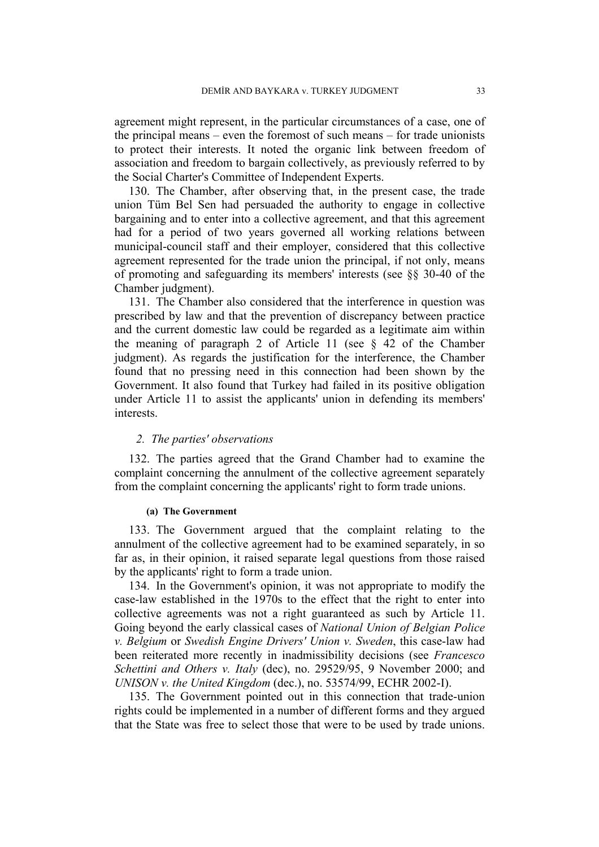agreement might represent, in the particular circumstances of a case, one of the principal means – even the foremost of such means – for trade unionists to protect their interests. It noted the organic link between freedom of association and freedom to bargain collectively, as previously referred to by the Social Charter's Committee of Independent Experts.

130. The Chamber, after observing that, in the present case, the trade union Tüm Bel Sen had persuaded the authority to engage in collective bargaining and to enter into a collective agreement, and that this agreement had for a period of two years governed all working relations between municipal-council staff and their employer, considered that this collective agreement represented for the trade union the principal, if not only, means of promoting and safeguarding its members' interests (see §§ 30-40 of the Chamber judgment).

131. The Chamber also considered that the interference in question was prescribed by law and that the prevention of discrepancy between practice and the current domestic law could be regarded as a legitimate aim within the meaning of paragraph 2 of Article 11 (see § 42 of the Chamber judgment). As regards the justification for the interference, the Chamber found that no pressing need in this connection had been shown by the Government. It also found that Turkey had failed in its positive obligation under Article 11 to assist the applicants' union in defending its members' interests.

### *2. The parties' observations*

132. The parties agreed that the Grand Chamber had to examine the complaint concerning the annulment of the collective agreement separately from the complaint concerning the applicants' right to form trade unions.

### **(a) The Government**

133. The Government argued that the complaint relating to the annulment of the collective agreement had to be examined separately, in so far as, in their opinion, it raised separate legal questions from those raised by the applicants' right to form a trade union.

134. In the Government's opinion, it was not appropriate to modify the case-law established in the 1970s to the effect that the right to enter into collective agreements was not a right guaranteed as such by Article 11. Going beyond the early classical cases of *National Union of Belgian Police v. Belgium* or *Swedish Engine Drivers' Union v. Sweden*, this case-law had been reiterated more recently in inadmissibility decisions (see *Francesco Schettini and Others v. Italy* (dec), no. 29529/95, 9 November 2000; and *UNISON v. the United Kingdom* (dec.), no. 53574/99, ECHR 2002-I).

135. The Government pointed out in this connection that trade-union rights could be implemented in a number of different forms and they argued that the State was free to select those that were to be used by trade unions.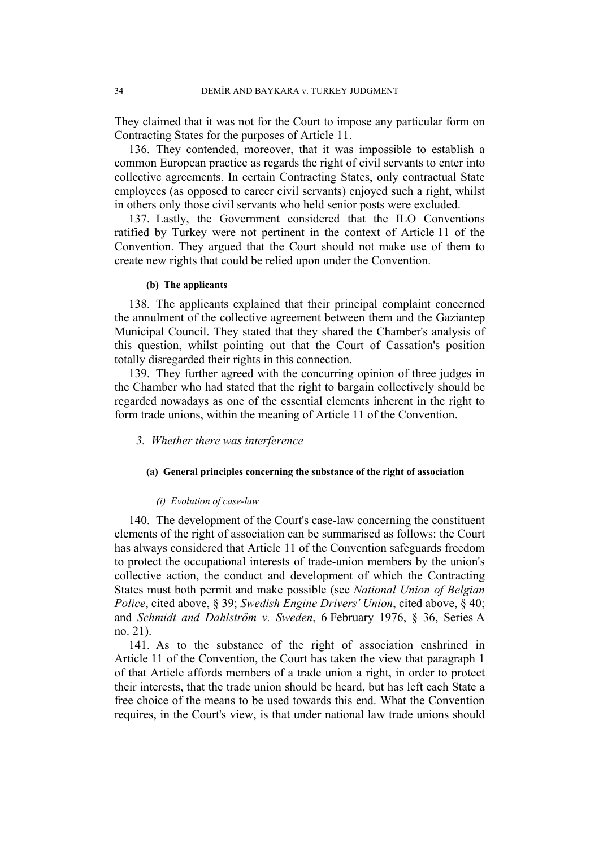They claimed that it was not for the Court to impose any particular form on Contracting States for the purposes of Article 11.

136. They contended, moreover, that it was impossible to establish a common European practice as regards the right of civil servants to enter into collective agreements. In certain Contracting States, only contractual State employees (as opposed to career civil servants) enjoyed such a right, whilst in others only those civil servants who held senior posts were excluded.

137. Lastly, the Government considered that the ILO Conventions ratified by Turkey were not pertinent in the context of Article 11 of the Convention. They argued that the Court should not make use of them to create new rights that could be relied upon under the Convention.

### **(b) The applicants**

138. The applicants explained that their principal complaint concerned the annulment of the collective agreement between them and the Gaziantep Municipal Council. They stated that they shared the Chamber's analysis of this question, whilst pointing out that the Court of Cassation's position totally disregarded their rights in this connection.

139. They further agreed with the concurring opinion of three judges in the Chamber who had stated that the right to bargain collectively should be regarded nowadays as one of the essential elements inherent in the right to form trade unions, within the meaning of Article 11 of the Convention.

### *3. Whether there was interference*

### **(a) General principles concerning the substance of the right of association**

### *(i) Evolution of case-law*

140. The development of the Court's case-law concerning the constituent elements of the right of association can be summarised as follows: the Court has always considered that Article 11 of the Convention safeguards freedom to protect the occupational interests of trade-union members by the union's collective action, the conduct and development of which the Contracting States must both permit and make possible (see *National Union of Belgian Police*, cited above, § 39; *Swedish Engine Drivers' Union*, cited above, § 40; and *Schmidt and Dahlström v. Sweden*, 6 February 1976, § 36, Series A no. 21).

141. As to the substance of the right of association enshrined in Article 11 of the Convention, the Court has taken the view that paragraph 1 of that Article affords members of a trade union a right, in order to protect their interests, that the trade union should be heard, but has left each State a free choice of the means to be used towards this end. What the Convention requires, in the Court's view, is that under national law trade unions should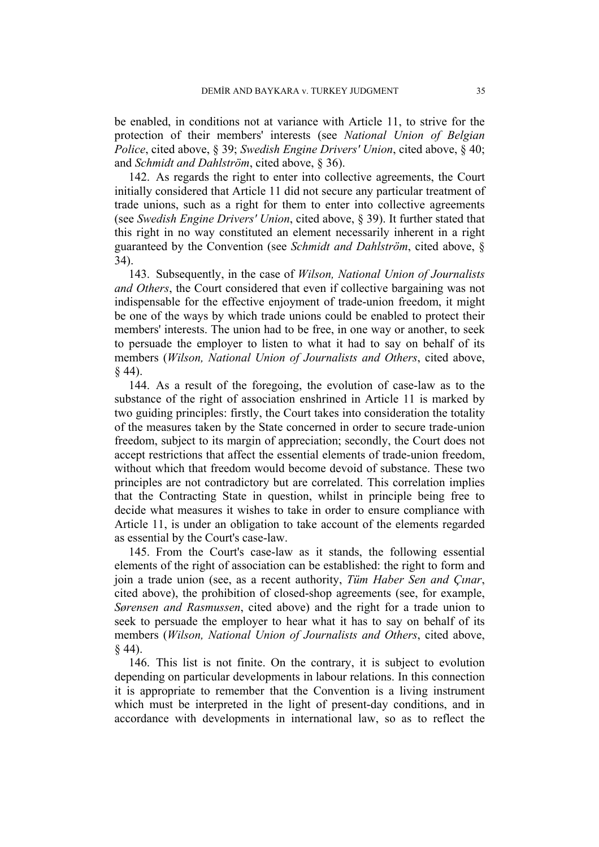be enabled, in conditions not at variance with Article 11, to strive for the protection of their members' interests (see *National Union of Belgian Police*, cited above, § 39; *Swedish Engine Drivers' Union*, cited above, § 40; and *Schmidt and Dahlström*, cited above, § 36).

142. As regards the right to enter into collective agreements, the Court initially considered that Article 11 did not secure any particular treatment of trade unions, such as a right for them to enter into collective agreements (see *Swedish Engine Drivers' Union*, cited above, § 39). It further stated that this right in no way constituted an element necessarily inherent in a right guaranteed by the Convention (see *Schmidt and Dahlström*, cited above, § 34).

143. Subsequently, in the case of *Wilson, National Union of Journalists and Others*, the Court considered that even if collective bargaining was not indispensable for the effective enjoyment of trade-union freedom, it might be one of the ways by which trade unions could be enabled to protect their members' interests. The union had to be free, in one way or another, to seek to persuade the employer to listen to what it had to say on behalf of its members (*Wilson, National Union of Journalists and Others*, cited above, § 44).

144. As a result of the foregoing, the evolution of case-law as to the substance of the right of association enshrined in Article 11 is marked by two guiding principles: firstly, the Court takes into consideration the totality of the measures taken by the State concerned in order to secure trade-union freedom, subject to its margin of appreciation; secondly, the Court does not accept restrictions that affect the essential elements of trade-union freedom, without which that freedom would become devoid of substance. These two principles are not contradictory but are correlated. This correlation implies that the Contracting State in question, whilst in principle being free to decide what measures it wishes to take in order to ensure compliance with Article 11, is under an obligation to take account of the elements regarded as essential by the Court's case-law.

145. From the Court's case-law as it stands, the following essential elements of the right of association can be established: the right to form and join a trade union (see, as a recent authority, *Tüm Haber Sen and Çınar*, cited above), the prohibition of closed-shop agreements (see, for example, *Sørensen and Rasmussen*, cited above) and the right for a trade union to seek to persuade the employer to hear what it has to say on behalf of its members (*Wilson, National Union of Journalists and Others*, cited above,  $§ 44$ ).

146. This list is not finite. On the contrary, it is subject to evolution depending on particular developments in labour relations. In this connection it is appropriate to remember that the Convention is a living instrument which must be interpreted in the light of present-day conditions, and in accordance with developments in international law, so as to reflect the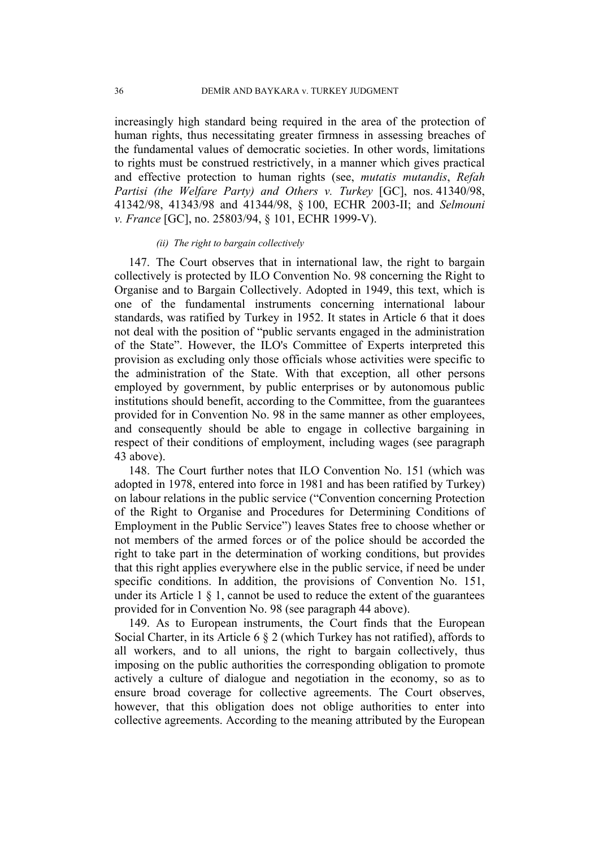increasingly high standard being required in the area of the protection of human rights, thus necessitating greater firmness in assessing breaches of the fundamental values of democratic societies. In other words, limitations to rights must be construed restrictively, in a manner which gives practical and effective protection to human rights (see, *mutatis mutandis*, *Refah Partisi (the Welfare Party) and Others v. Turkey* [GC], nos. 41340/98, 41342/98, 41343/98 and 41344/98, § 100, ECHR 2003-II; and *Selmouni v. France* [GC], no. 25803/94, § 101, ECHR 1999-V).

### *(ii) The right to bargain collectively*

147. The Court observes that in international law, the right to bargain collectively is protected by ILO Convention No. 98 concerning the Right to Organise and to Bargain Collectively. Adopted in 1949, this text, which is one of the fundamental instruments concerning international labour standards, was ratified by Turkey in 1952. It states in Article 6 that it does not deal with the position of "public servants engaged in the administration of the State". However, the ILO's Committee of Experts interpreted this provision as excluding only those officials whose activities were specific to the administration of the State. With that exception, all other persons employed by government, by public enterprises or by autonomous public institutions should benefit, according to the Committee, from the guarantees provided for in Convention No. 98 in the same manner as other employees, and consequently should be able to engage in collective bargaining in respect of their conditions of employment, including wages (see paragraph 43 above).

148. The Court further notes that ILO Convention No. 151 (which was adopted in 1978, entered into force in 1981 and has been ratified by Turkey) on labour relations in the public service ("Convention concerning Protection of the Right to Organise and Procedures for Determining Conditions of Employment in the Public Service") leaves States free to choose whether or not members of the armed forces or of the police should be accorded the right to take part in the determination of working conditions, but provides that this right applies everywhere else in the public service, if need be under specific conditions. In addition, the provisions of Convention No. 151, under its Article  $1 \S 1$ , cannot be used to reduce the extent of the guarantees provided for in Convention No. 98 (see paragraph 44 above).

149. As to European instruments, the Court finds that the European Social Charter, in its Article 6 § 2 (which Turkey has not ratified), affords to all workers, and to all unions, the right to bargain collectively, thus imposing on the public authorities the corresponding obligation to promote actively a culture of dialogue and negotiation in the economy, so as to ensure broad coverage for collective agreements. The Court observes, however, that this obligation does not oblige authorities to enter into collective agreements. According to the meaning attributed by the European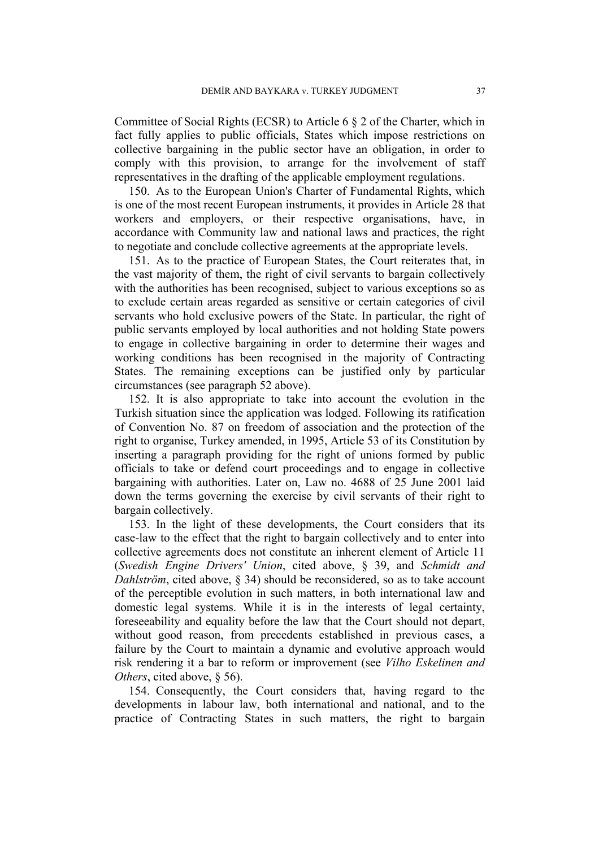Committee of Social Rights (ECSR) to Article 6 § 2 of the Charter, which in fact fully applies to public officials, States which impose restrictions on collective bargaining in the public sector have an obligation, in order to comply with this provision, to arrange for the involvement of staff representatives in the drafting of the applicable employment regulations.

150. As to the European Union's Charter of Fundamental Rights, which is one of the most recent European instruments, it provides in Article 28 that workers and employers, or their respective organisations, have, in accordance with Community law and national laws and practices, the right to negotiate and conclude collective agreements at the appropriate levels.

151. As to the practice of European States, the Court reiterates that, in the vast majority of them, the right of civil servants to bargain collectively with the authorities has been recognised, subject to various exceptions so as to exclude certain areas regarded as sensitive or certain categories of civil servants who hold exclusive powers of the State. In particular, the right of public servants employed by local authorities and not holding State powers to engage in collective bargaining in order to determine their wages and working conditions has been recognised in the majority of Contracting States. The remaining exceptions can be justified only by particular circumstances (see paragraph 52 above).

152. It is also appropriate to take into account the evolution in the Turkish situation since the application was lodged. Following its ratification of Convention No. 87 on freedom of association and the protection of the right to organise, Turkey amended, in 1995, Article 53 of its Constitution by inserting a paragraph providing for the right of unions formed by public officials to take or defend court proceedings and to engage in collective bargaining with authorities. Later on, Law no. 4688 of 25 June 2001 laid down the terms governing the exercise by civil servants of their right to bargain collectively.

153. In the light of these developments, the Court considers that its case-law to the effect that the right to bargain collectively and to enter into collective agreements does not constitute an inherent element of Article 11 (*Swedish Engine Drivers' Union*, cited above, § 39, and *Schmidt and Dahlström*, cited above, § 34) should be reconsidered, so as to take account of the perceptible evolution in such matters, in both international law and domestic legal systems. While it is in the interests of legal certainty, foreseeability and equality before the law that the Court should not depart, without good reason, from precedents established in previous cases, a failure by the Court to maintain a dynamic and evolutive approach would risk rendering it a bar to reform or improvement (see *Vilho Eskelinen and Others*, cited above, § 56).

154. Consequently, the Court considers that, having regard to the developments in labour law, both international and national, and to the practice of Contracting States in such matters, the right to bargain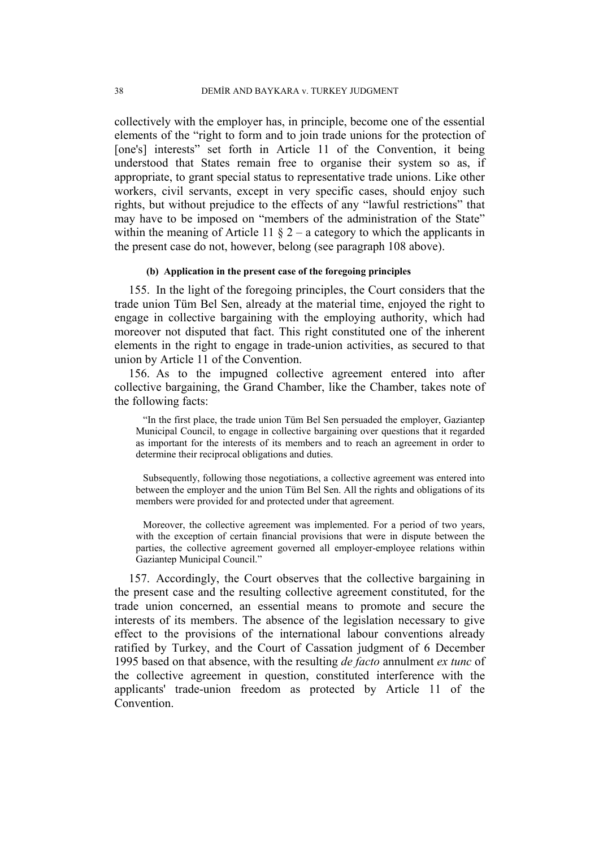collectively with the employer has, in principle, become one of the essential elements of the "right to form and to join trade unions for the protection of [one's] interests" set forth in Article 11 of the Convention, it being understood that States remain free to organise their system so as, if appropriate, to grant special status to representative trade unions. Like other workers, civil servants, except in very specific cases, should enjoy such rights, but without prejudice to the effects of any "lawful restrictions" that may have to be imposed on "members of the administration of the State" within the meaning of Article 11  $\S$  2 – a category to which the applicants in the present case do not, however, belong (see paragraph 108 above).

### **(b) Application in the present case of the foregoing principles**

155. In the light of the foregoing principles, the Court considers that the trade union Tüm Bel Sen, already at the material time, enjoyed the right to engage in collective bargaining with the employing authority, which had moreover not disputed that fact. This right constituted one of the inherent elements in the right to engage in trade-union activities, as secured to that union by Article 11 of the Convention.

156. As to the impugned collective agreement entered into after collective bargaining, the Grand Chamber, like the Chamber, takes note of the following facts:

"In the first place, the trade union Tüm Bel Sen persuaded the employer, Gaziantep Municipal Council, to engage in collective bargaining over questions that it regarded as important for the interests of its members and to reach an agreement in order to determine their reciprocal obligations and duties.

Subsequently, following those negotiations, a collective agreement was entered into between the employer and the union Tüm Bel Sen. All the rights and obligations of its members were provided for and protected under that agreement.

Moreover, the collective agreement was implemented. For a period of two years, with the exception of certain financial provisions that were in dispute between the parties, the collective agreement governed all employer-employee relations within Gaziantep Municipal Council."

157. Accordingly, the Court observes that the collective bargaining in the present case and the resulting collective agreement constituted, for the trade union concerned, an essential means to promote and secure the interests of its members. The absence of the legislation necessary to give effect to the provisions of the international labour conventions already ratified by Turkey, and the Court of Cassation judgment of 6 December 1995 based on that absence, with the resulting *de facto* annulment *ex tunc* of the collective agreement in question, constituted interference with the applicants' trade-union freedom as protected by Article 11 of the **Convention**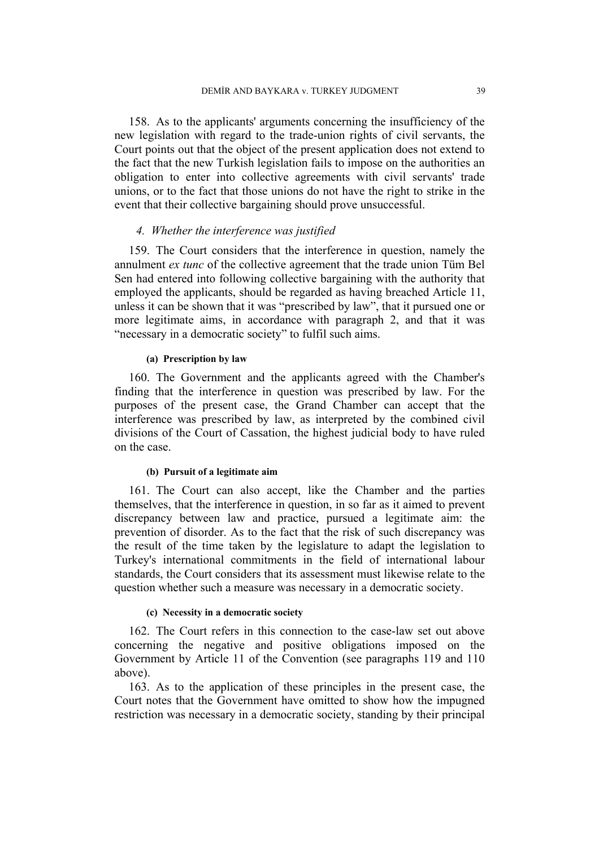158. As to the applicants' arguments concerning the insufficiency of the new legislation with regard to the trade-union rights of civil servants, the Court points out that the object of the present application does not extend to the fact that the new Turkish legislation fails to impose on the authorities an obligation to enter into collective agreements with civil servants' trade unions, or to the fact that those unions do not have the right to strike in the event that their collective bargaining should prove unsuccessful.

### *4. Whether the interference was justified*

159. The Court considers that the interference in question, namely the annulment *ex tunc* of the collective agreement that the trade union Tüm Bel Sen had entered into following collective bargaining with the authority that employed the applicants, should be regarded as having breached Article 11, unless it can be shown that it was "prescribed by law", that it pursued one or more legitimate aims, in accordance with paragraph 2, and that it was "necessary in a democratic society" to fulfil such aims.

### **(a) Prescription by law**

160. The Government and the applicants agreed with the Chamber's finding that the interference in question was prescribed by law. For the purposes of the present case, the Grand Chamber can accept that the interference was prescribed by law, as interpreted by the combined civil divisions of the Court of Cassation, the highest judicial body to have ruled on the case.

### **(b) Pursuit of a legitimate aim**

161. The Court can also accept, like the Chamber and the parties themselves, that the interference in question, in so far as it aimed to prevent discrepancy between law and practice, pursued a legitimate aim: the prevention of disorder. As to the fact that the risk of such discrepancy was the result of the time taken by the legislature to adapt the legislation to Turkey's international commitments in the field of international labour standards, the Court considers that its assessment must likewise relate to the question whether such a measure was necessary in a democratic society.

### **(c) Necessity in a democratic society**

162. The Court refers in this connection to the case-law set out above concerning the negative and positive obligations imposed on the Government by Article 11 of the Convention (see paragraphs 119 and 110 above).

163. As to the application of these principles in the present case, the Court notes that the Government have omitted to show how the impugned restriction was necessary in a democratic society, standing by their principal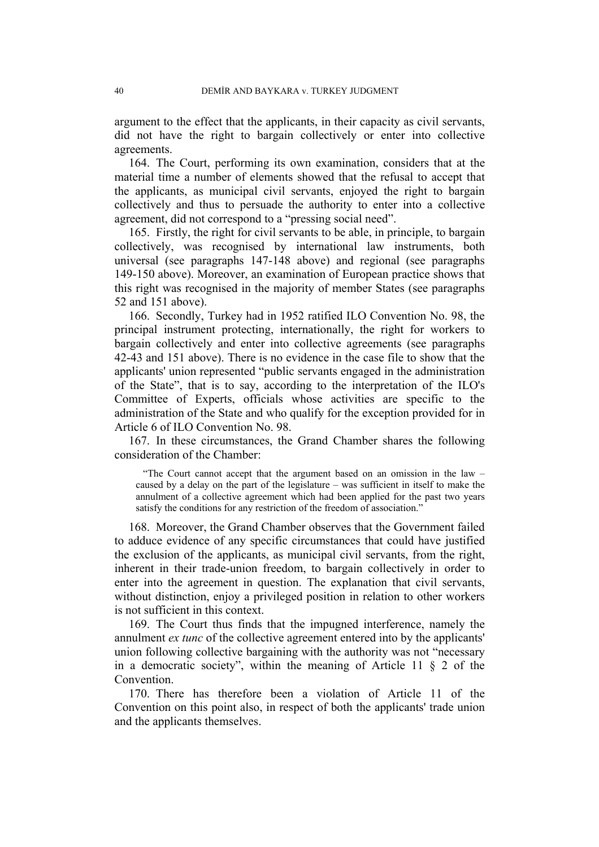argument to the effect that the applicants, in their capacity as civil servants, did not have the right to bargain collectively or enter into collective agreements.

164. The Court, performing its own examination, considers that at the material time a number of elements showed that the refusal to accept that the applicants, as municipal civil servants, enjoyed the right to bargain collectively and thus to persuade the authority to enter into a collective agreement, did not correspond to a "pressing social need".

165. Firstly, the right for civil servants to be able, in principle, to bargain collectively, was recognised by international law instruments, both universal (see paragraphs 147-148 above) and regional (see paragraphs 149-150 above). Moreover, an examination of European practice shows that this right was recognised in the majority of member States (see paragraphs 52 and 151 above).

166. Secondly, Turkey had in 1952 ratified ILO Convention No. 98, the principal instrument protecting, internationally, the right for workers to bargain collectively and enter into collective agreements (see paragraphs 42-43 and 151 above). There is no evidence in the case file to show that the applicants' union represented "public servants engaged in the administration of the State", that is to say, according to the interpretation of the ILO's Committee of Experts, officials whose activities are specific to the administration of the State and who qualify for the exception provided for in Article 6 of ILO Convention No. 98.

167. In these circumstances, the Grand Chamber shares the following consideration of the Chamber:

"The Court cannot accept that the argument based on an omission in the law – caused by a delay on the part of the legislature – was sufficient in itself to make the annulment of a collective agreement which had been applied for the past two years satisfy the conditions for any restriction of the freedom of association."

168. Moreover, the Grand Chamber observes that the Government failed to adduce evidence of any specific circumstances that could have justified the exclusion of the applicants, as municipal civil servants, from the right, inherent in their trade-union freedom, to bargain collectively in order to enter into the agreement in question. The explanation that civil servants, without distinction, enjoy a privileged position in relation to other workers is not sufficient in this context.

169. The Court thus finds that the impugned interference, namely the annulment *ex tunc* of the collective agreement entered into by the applicants' union following collective bargaining with the authority was not "necessary in a democratic society", within the meaning of Article 11  $\S$  2 of the **Convention** 

170. There has therefore been a violation of Article 11 of the Convention on this point also, in respect of both the applicants' trade union and the applicants themselves.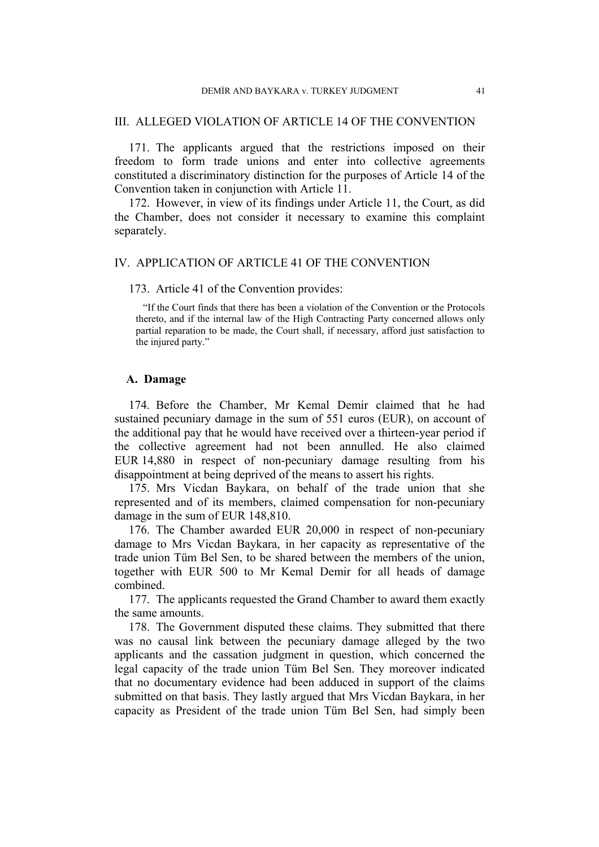### III. ALLEGED VIOLATION OF ARTICLE 14 OF THE CONVENTION

171. The applicants argued that the restrictions imposed on their freedom to form trade unions and enter into collective agreements constituted a discriminatory distinction for the purposes of Article 14 of the Convention taken in conjunction with Article 11.

172. However, in view of its findings under Article 11, the Court, as did the Chamber, does not consider it necessary to examine this complaint separately.

### IV. APPLICATION OF ARTICLE 41 OF THE CONVENTION

173. Article 41 of the Convention provides:

"If the Court finds that there has been a violation of the Convention or the Protocols thereto, and if the internal law of the High Contracting Party concerned allows only partial reparation to be made, the Court shall, if necessary, afford just satisfaction to the injured party."

### **A. Damage**

174. Before the Chamber, Mr Kemal Demir claimed that he had sustained pecuniary damage in the sum of 551 euros (EUR), on account of the additional pay that he would have received over a thirteen-year period if the collective agreement had not been annulled. He also claimed EUR 14,880 in respect of non-pecuniary damage resulting from his disappointment at being deprived of the means to assert his rights.

175. Mrs Vicdan Baykara, on behalf of the trade union that she represented and of its members, claimed compensation for non-pecuniary damage in the sum of EUR 148,810.

176. The Chamber awarded EUR 20,000 in respect of non-pecuniary damage to Mrs Vicdan Baykara, in her capacity as representative of the trade union Tüm Bel Sen, to be shared between the members of the union, together with EUR 500 to Mr Kemal Demir for all heads of damage combined.

177. The applicants requested the Grand Chamber to award them exactly the same amounts.

178. The Government disputed these claims. They submitted that there was no causal link between the pecuniary damage alleged by the two applicants and the cassation judgment in question, which concerned the legal capacity of the trade union Tüm Bel Sen. They moreover indicated that no documentary evidence had been adduced in support of the claims submitted on that basis. They lastly argued that Mrs Vicdan Baykara, in her capacity as President of the trade union Tüm Bel Sen, had simply been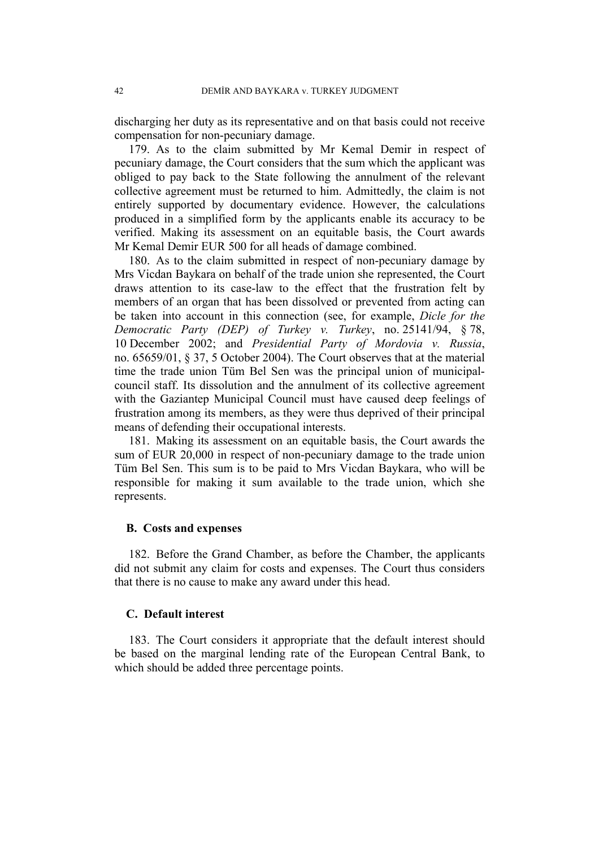discharging her duty as its representative and on that basis could not receive compensation for non-pecuniary damage.

179. As to the claim submitted by Mr Kemal Demir in respect of pecuniary damage, the Court considers that the sum which the applicant was obliged to pay back to the State following the annulment of the relevant collective agreement must be returned to him. Admittedly, the claim is not entirely supported by documentary evidence. However, the calculations produced in a simplified form by the applicants enable its accuracy to be verified. Making its assessment on an equitable basis, the Court awards Mr Kemal Demir EUR 500 for all heads of damage combined.

180. As to the claim submitted in respect of non-pecuniary damage by Mrs Vicdan Baykara on behalf of the trade union she represented, the Court draws attention to its case-law to the effect that the frustration felt by members of an organ that has been dissolved or prevented from acting can be taken into account in this connection (see, for example, *Dicle for the Democratic Party (DEP) of Turkey v. Turkey*, no. 25141/94, § 78, 10 December 2002; and *Presidential Party of Mordovia v. Russia*, no. 65659/01, § 37, 5 October 2004). The Court observes that at the material time the trade union Tüm Bel Sen was the principal union of municipalcouncil staff. Its dissolution and the annulment of its collective agreement with the Gaziantep Municipal Council must have caused deep feelings of frustration among its members, as they were thus deprived of their principal means of defending their occupational interests.

181. Making its assessment on an equitable basis, the Court awards the sum of EUR 20,000 in respect of non-pecuniary damage to the trade union Tüm Bel Sen. This sum is to be paid to Mrs Vicdan Baykara, who will be responsible for making it sum available to the trade union, which she represents.

### **B. Costs and expenses**

182. Before the Grand Chamber, as before the Chamber, the applicants did not submit any claim for costs and expenses. The Court thus considers that there is no cause to make any award under this head.

### **C. Default interest**

183. The Court considers it appropriate that the default interest should be based on the marginal lending rate of the European Central Bank, to which should be added three percentage points.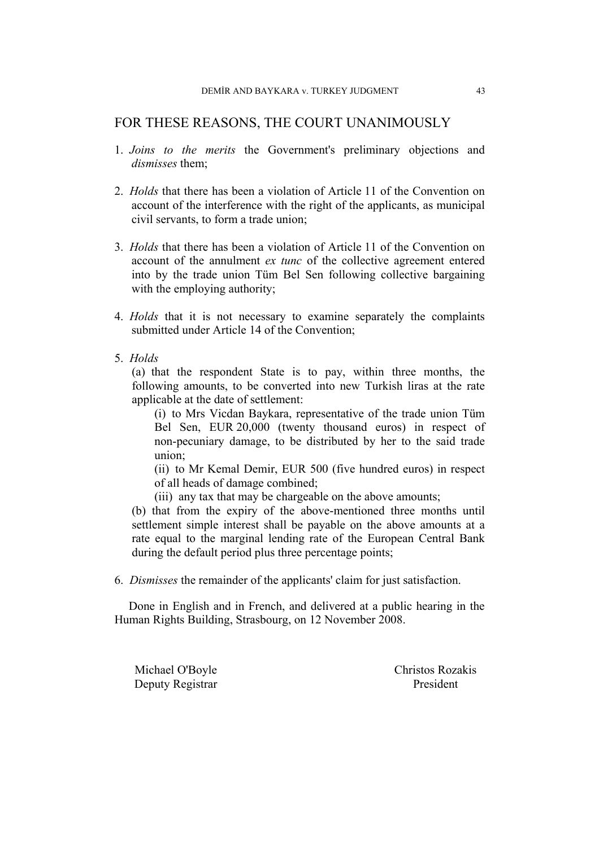# FOR THESE REASONS, THE COURT UNANIMOUSLY

- 1. *Joins to the merits* the Government's preliminary objections and *dismisses* them;
- 2. *Holds* that there has been a violation of Article 11 of the Convention on account of the interference with the right of the applicants, as municipal civil servants, to form a trade union;
- 3. *Holds* that there has been a violation of Article 11 of the Convention on account of the annulment *ex tunc* of the collective agreement entered into by the trade union Tüm Bel Sen following collective bargaining with the employing authority;
- 4. *Holds* that it is not necessary to examine separately the complaints submitted under Article 14 of the Convention;
- 5. *Holds*

(a) that the respondent State is to pay, within three months, the following amounts, to be converted into new Turkish liras at the rate applicable at the date of settlement:

(i) to Mrs Vicdan Baykara, representative of the trade union Tüm Bel Sen, EUR 20,000 (twenty thousand euros) in respect of non-pecuniary damage, to be distributed by her to the said trade union;

(ii) to Mr Kemal Demir, EUR 500 (five hundred euros) in respect of all heads of damage combined;

(iii) any tax that may be chargeable on the above amounts;

(b) that from the expiry of the above-mentioned three months until settlement simple interest shall be payable on the above amounts at a rate equal to the marginal lending rate of the European Central Bank during the default period plus three percentage points;

6. *Dismisses* the remainder of the applicants' claim for just satisfaction.

Done in English and in French, and delivered at a public hearing in the Human Rights Building, Strasbourg, on 12 November 2008.

Deputy Registrar President

Michael O'Boyle Christos Rozakis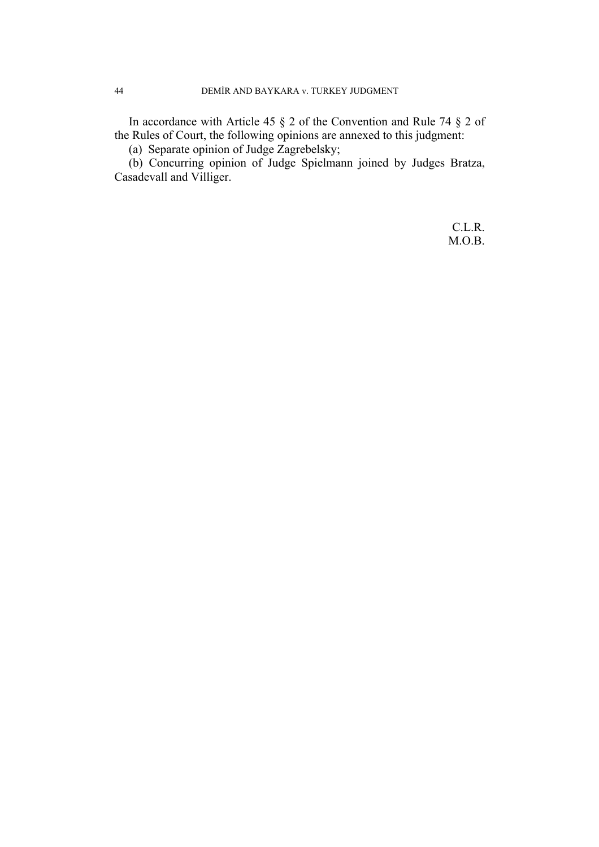In accordance with Article 45 § 2 of the Convention and Rule 74 § 2 of the Rules of Court, the following opinions are annexed to this judgment:

(a) Separate opinion of Judge Zagrebelsky;

(b) Concurring opinion of Judge Spielmann joined by Judges Bratza, Casadevall and Villiger.

> C.L.R. M.O.B.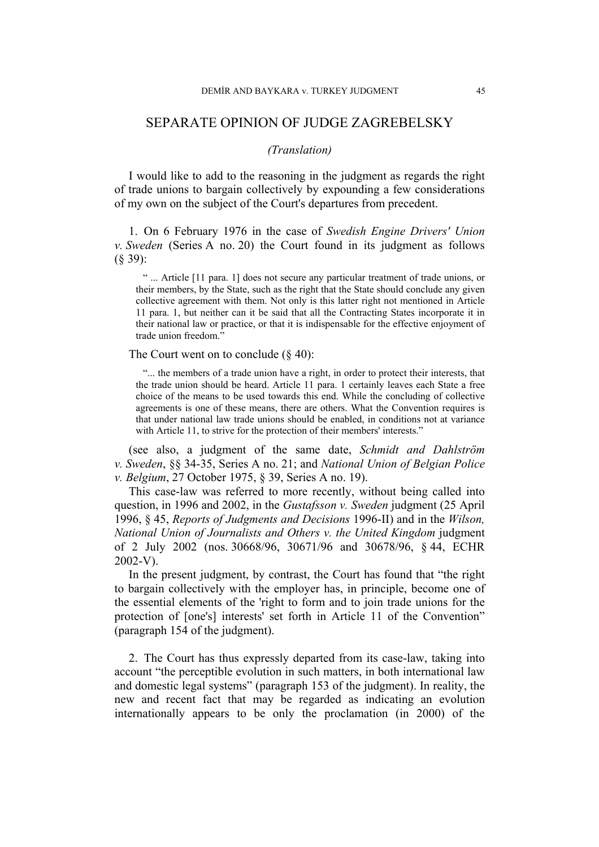# SEPARATE OPINION OF JUDGE ZAGREBELSKY

### *(Translation)*

I would like to add to the reasoning in the judgment as regards the right of trade unions to bargain collectively by expounding a few considerations of my own on the subject of the Court's departures from precedent.

1. On 6 February 1976 in the case of *Swedish Engine Drivers' Union v. Sweden* (Series A no. 20) the Court found in its judgment as follows (§ 39):

" ... Article [11 para. 1] does not secure any particular treatment of trade unions, or their members, by the State, such as the right that the State should conclude any given collective agreement with them. Not only is this latter right not mentioned in Article 11 para. 1, but neither can it be said that all the Contracting States incorporate it in their national law or practice, or that it is indispensable for the effective enjoyment of trade union freedom."

The Court went on to conclude  $(\S 40)$ :

"... the members of a trade union have a right, in order to protect their interests, that the trade union should be heard. Article 11 para. 1 certainly leaves each State a free choice of the means to be used towards this end. While the concluding of collective agreements is one of these means, there are others. What the Convention requires is that under national law trade unions should be enabled, in conditions not at variance with Article 11, to strive for the protection of their members' interests."

(see also, a judgment of the same date, *Schmidt and Dahlström v. Sweden*, §§ 34-35, Series A no. 21; and *National Union of Belgian Police v. Belgium*, 27 October 1975, § 39, Series A no. 19).

This case-law was referred to more recently, without being called into question, in 1996 and 2002, in the *Gustafsson v. Sweden* judgment (25 April 1996, § 45, *Reports of Judgments and Decisions* 1996-II) and in the *Wilson, National Union of Journalists and Others v. the United Kingdom* judgment of 2 July 2002 (nos. 30668/96, 30671/96 and 30678/96, § 44, ECHR 2002-V).

In the present judgment, by contrast, the Court has found that "the right to bargain collectively with the employer has, in principle, become one of the essential elements of the 'right to form and to join trade unions for the protection of [one's] interests' set forth in Article 11 of the Convention" (paragraph 154 of the judgment).

2. The Court has thus expressly departed from its case-law, taking into account "the perceptible evolution in such matters, in both international law and domestic legal systems" (paragraph 153 of the judgment). In reality, the new and recent fact that may be regarded as indicating an evolution internationally appears to be only the proclamation (in 2000) of the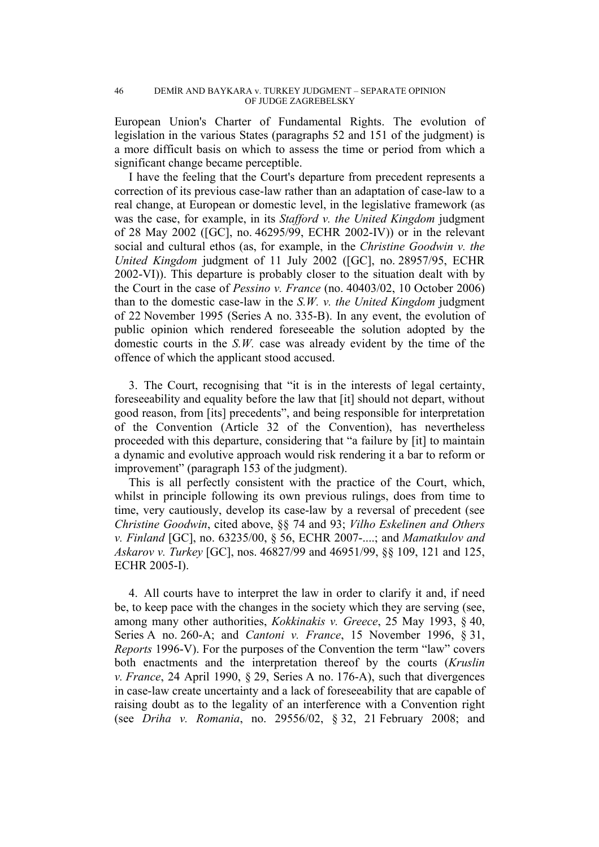European Union's Charter of Fundamental Rights. The evolution of legislation in the various States (paragraphs 52 and 151 of the judgment) is a more difficult basis on which to assess the time or period from which a significant change became perceptible.

I have the feeling that the Court's departure from precedent represents a correction of its previous case-law rather than an adaptation of case-law to a real change, at European or domestic level, in the legislative framework (as was the case, for example, in its *Stafford v. the United Kingdom* judgment of 28 May 2002 ([GC], no. 46295/99, ECHR 2002-IV)) or in the relevant social and cultural ethos (as, for example, in the *Christine Goodwin v. the United Kingdom* judgment of 11 July 2002 ([GC], no. 28957/95, ECHR 2002-VI)). This departure is probably closer to the situation dealt with by the Court in the case of *Pessino v. France* (no. 40403/02, 10 October 2006) than to the domestic case-law in the *S.W. v. the United Kingdom* judgment of 22 November 1995 (Series A no. 335-B). In any event, the evolution of public opinion which rendered foreseeable the solution adopted by the domestic courts in the *S.W.* case was already evident by the time of the offence of which the applicant stood accused.

3. The Court, recognising that "it is in the interests of legal certainty, foreseeability and equality before the law that [it] should not depart, without good reason, from [its] precedents", and being responsible for interpretation of the Convention (Article 32 of the Convention), has nevertheless proceeded with this departure, considering that "a failure by [it] to maintain a dynamic and evolutive approach would risk rendering it a bar to reform or improvement" (paragraph 153 of the judgment).

This is all perfectly consistent with the practice of the Court, which, whilst in principle following its own previous rulings, does from time to time, very cautiously, develop its case-law by a reversal of precedent (see *Christine Goodwin*, cited above, §§ 74 and 93; *Vilho Eskelinen and Others v. Finland* [GC], no. 63235/00, § 56, ECHR 2007-....; and *Mamatkulov and Askarov v. Turkey* [GC], nos. 46827/99 and 46951/99, §§ 109, 121 and 125, ECHR 2005-I).

4. All courts have to interpret the law in order to clarify it and, if need be, to keep pace with the changes in the society which they are serving (see, among many other authorities, *Kokkinakis v. Greece*, 25 May 1993, § 40, Series A no. 260-A; and *Cantoni v. France*, 15 November 1996, § 31, *Reports* 1996-V). For the purposes of the Convention the term "law" covers both enactments and the interpretation thereof by the courts (*Kruslin v. France*, 24 April 1990, § 29, Series A no. 176-A), such that divergences in case-law create uncertainty and a lack of foreseeability that are capable of raising doubt as to the legality of an interference with a Convention right (see *Driha v. Romania*, no. 29556/02, § 32, 21 February 2008; and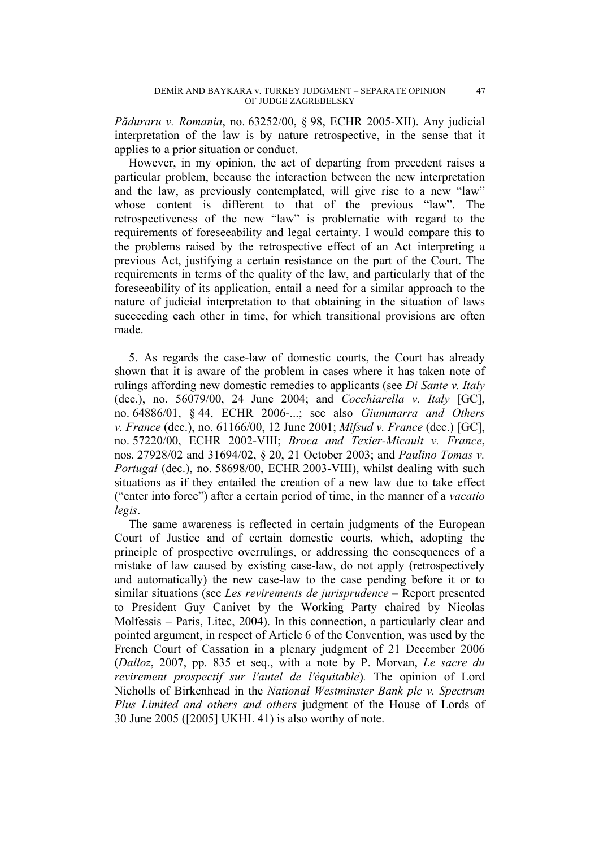*Păduraru v. Romania*, no. 63252/00, § 98, ECHR 2005-XII). Any judicial interpretation of the law is by nature retrospective, in the sense that it applies to a prior situation or conduct.

However, in my opinion, the act of departing from precedent raises a particular problem, because the interaction between the new interpretation and the law, as previously contemplated, will give rise to a new "law" whose content is different to that of the previous "law". The retrospectiveness of the new "law" is problematic with regard to the requirements of foreseeability and legal certainty. I would compare this to the problems raised by the retrospective effect of an Act interpreting a previous Act, justifying a certain resistance on the part of the Court. The requirements in terms of the quality of the law, and particularly that of the foreseeability of its application, entail a need for a similar approach to the nature of judicial interpretation to that obtaining in the situation of laws succeeding each other in time, for which transitional provisions are often made.

5. As regards the case-law of domestic courts, the Court has already shown that it is aware of the problem in cases where it has taken note of rulings affording new domestic remedies to applicants (see *Di Sante v. Italy* (dec.), no. 56079/00, 24 June 2004; and *Cocchiarella v. Italy* [GC], no. 64886/01, § 44, ECHR 2006-...; see also *Giummarra and Others v. France* (dec.), no. 61166/00, 12 June 2001; *Mifsud v. France* (dec.) [GC], no. 57220/00, ECHR 2002-VIII; *Broca and Texier-Micault v. France*, nos. 27928/02 and 31694/02, § 20, 21 October 2003; and *Paulino Tomas v. Portugal* (dec.), no. 58698/00, ECHR 2003-VIII), whilst dealing with such situations as if they entailed the creation of a new law due to take effect ("enter into force") after a certain period of time, in the manner of a *vacatio legis*.

The same awareness is reflected in certain judgments of the European Court of Justice and of certain domestic courts, which, adopting the principle of prospective overrulings, or addressing the consequences of a mistake of law caused by existing case-law, do not apply (retrospectively and automatically) the new case-law to the case pending before it or to similar situations (see *Les revirements de jurisprudence –* Report presented to President Guy Canivet by the Working Party chaired by Nicolas Molfessis – Paris, Litec, 2004). In this connection, a particularly clear and pointed argument, in respect of Article 6 of the Convention, was used by the French Court of Cassation in a plenary judgment of 21 December 2006 (*Dalloz*, 2007, pp. 835 et seq., with a note by P. Morvan, *Le sacre du revirement prospectif sur l'autel de l'équitable*)*.* The opinion of Lord Nicholls of Birkenhead in the *National Westminster Bank plc v. Spectrum Plus Limited and others and others* judgment of the House of Lords of 30 June 2005 ([2005] UKHL 41) is also worthy of note.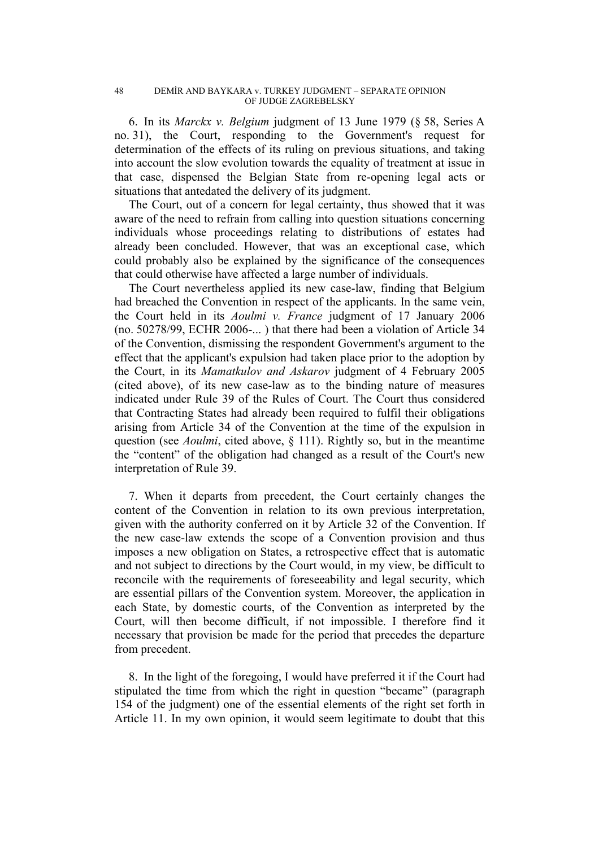6. In its *Marckx v. Belgium* judgment of 13 June 1979 (§ 58, Series A no. 31), the Court, responding to the Government's request for determination of the effects of its ruling on previous situations, and taking into account the slow evolution towards the equality of treatment at issue in that case, dispensed the Belgian State from re-opening legal acts or situations that antedated the delivery of its judgment.

The Court, out of a concern for legal certainty, thus showed that it was aware of the need to refrain from calling into question situations concerning individuals whose proceedings relating to distributions of estates had already been concluded. However, that was an exceptional case, which could probably also be explained by the significance of the consequences that could otherwise have affected a large number of individuals.

The Court nevertheless applied its new case-law, finding that Belgium had breached the Convention in respect of the applicants. In the same vein, the Court held in its *Aoulmi v. France* judgment of 17 January 2006 (no. 50278/99, ECHR 2006-... ) that there had been a violation of Article 34 of the Convention, dismissing the respondent Government's argument to the effect that the applicant's expulsion had taken place prior to the adoption by the Court, in its *Mamatkulov and Askarov* judgment of 4 February 2005 (cited above), of its new case-law as to the binding nature of measures indicated under Rule 39 of the Rules of Court. The Court thus considered that Contracting States had already been required to fulfil their obligations arising from Article 34 of the Convention at the time of the expulsion in question (see *Aoulmi*, cited above, § 111). Rightly so, but in the meantime the "content" of the obligation had changed as a result of the Court's new interpretation of Rule 39.

7. When it departs from precedent, the Court certainly changes the content of the Convention in relation to its own previous interpretation, given with the authority conferred on it by Article 32 of the Convention. If the new case-law extends the scope of a Convention provision and thus imposes a new obligation on States, a retrospective effect that is automatic and not subject to directions by the Court would, in my view, be difficult to reconcile with the requirements of foreseeability and legal security, which are essential pillars of the Convention system. Moreover, the application in each State, by domestic courts, of the Convention as interpreted by the Court, will then become difficult, if not impossible. I therefore find it necessary that provision be made for the period that precedes the departure from precedent.

8. In the light of the foregoing, I would have preferred it if the Court had stipulated the time from which the right in question "became" (paragraph 154 of the judgment) one of the essential elements of the right set forth in Article 11. In my own opinion, it would seem legitimate to doubt that this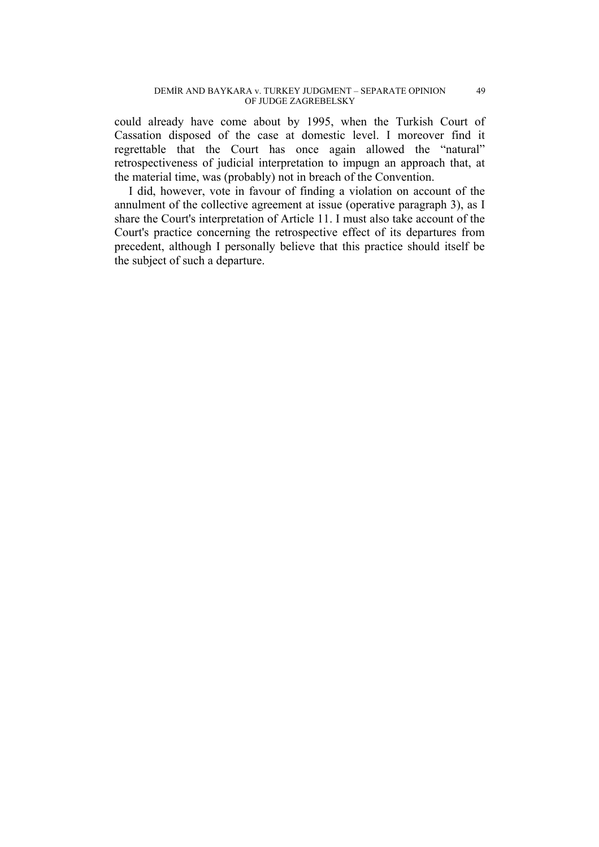could already have come about by 1995, when the Turkish Court of Cassation disposed of the case at domestic level. I moreover find it regrettable that the Court has once again allowed the "natural" retrospectiveness of judicial interpretation to impugn an approach that, at the material time, was (probably) not in breach of the Convention.

I did, however, vote in favour of finding a violation on account of the annulment of the collective agreement at issue (operative paragraph 3), as I share the Court's interpretation of Article 11. I must also take account of the Court's practice concerning the retrospective effect of its departures from precedent, although I personally believe that this practice should itself be the subject of such a departure.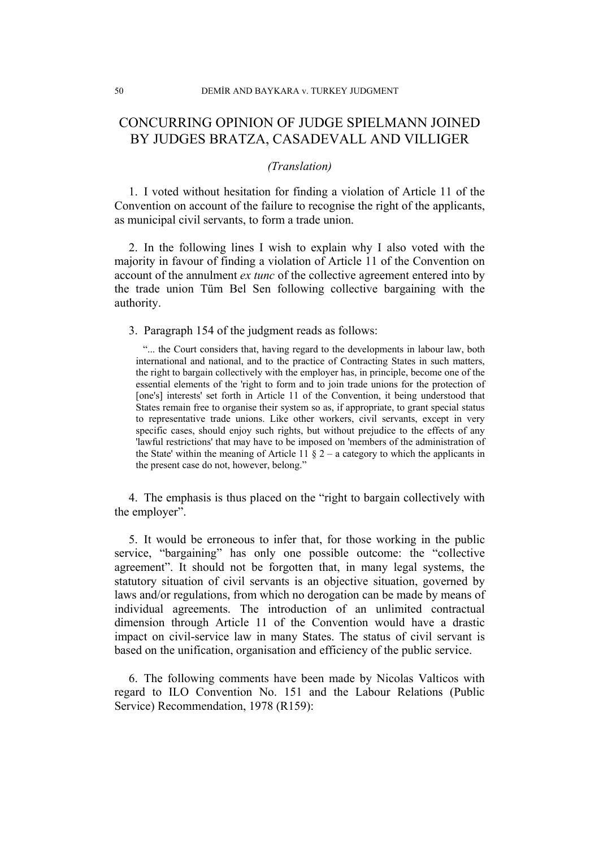# CONCURRING OPINION OF JUDGE SPIELMANN JOINED BY JUDGES BRATZA, CASADEVALL AND VILLIGER

### *(Translation)*

1. I voted without hesitation for finding a violation of Article 11 of the Convention on account of the failure to recognise the right of the applicants, as municipal civil servants, to form a trade union.

2. In the following lines I wish to explain why I also voted with the majority in favour of finding a violation of Article 11 of the Convention on account of the annulment *ex tunc* of the collective agreement entered into by the trade union Tüm Bel Sen following collective bargaining with the authority.

3. Paragraph 154 of the judgment reads as follows:

"... the Court considers that, having regard to the developments in labour law, both international and national, and to the practice of Contracting States in such matters, the right to bargain collectively with the employer has, in principle, become one of the essential elements of the 'right to form and to join trade unions for the protection of [one's] interests' set forth in Article 11 of the Convention, it being understood that States remain free to organise their system so as, if appropriate, to grant special status to representative trade unions. Like other workers, civil servants, except in very specific cases, should enjoy such rights, but without prejudice to the effects of any 'lawful restrictions' that may have to be imposed on 'members of the administration of the State' within the meaning of Article 11  $\S$  2 – a category to which the applicants in the present case do not, however, belong."

4. The emphasis is thus placed on the "right to bargain collectively with the employer".

5. It would be erroneous to infer that, for those working in the public service, "bargaining" has only one possible outcome: the "collective agreement". It should not be forgotten that, in many legal systems, the statutory situation of civil servants is an objective situation, governed by laws and/or regulations, from which no derogation can be made by means of individual agreements. The introduction of an unlimited contractual dimension through Article 11 of the Convention would have a drastic impact on civil-service law in many States. The status of civil servant is based on the unification, organisation and efficiency of the public service.

6. The following comments have been made by Nicolas Valticos with regard to ILO Convention No. 151 and the Labour Relations (Public Service) Recommendation, 1978 (R159):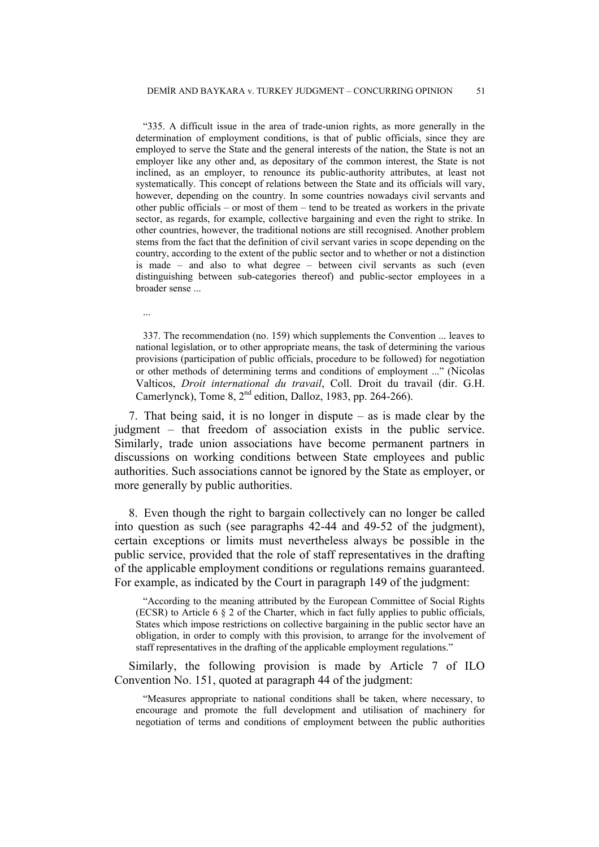"335. A difficult issue in the area of trade-union rights, as more generally in the determination of employment conditions, is that of public officials, since they are employed to serve the State and the general interests of the nation, the State is not an employer like any other and, as depositary of the common interest, the State is not inclined, as an employer, to renounce its public-authority attributes, at least not systematically. This concept of relations between the State and its officials will vary, however, depending on the country. In some countries nowadays civil servants and other public officials – or most of them – tend to be treated as workers in the private sector, as regards, for example, collective bargaining and even the right to strike. In other countries, however, the traditional notions are still recognised. Another problem stems from the fact that the definition of civil servant varies in scope depending on the country, according to the extent of the public sector and to whether or not a distinction is made – and also to what degree – between civil servants as such (even distinguishing between sub-categories thereof) and public-sector employees in a broader sense ...

...

337. The recommendation (no. 159) which supplements the Convention ... leaves to national legislation, or to other appropriate means, the task of determining the various provisions (participation of public officials, procedure to be followed) for negotiation or other methods of determining terms and conditions of employment ..." (Nicolas Valticos, *Droit international du travail*, Coll. Droit du travail (dir. G.H. Camerlynck), Tome 8,  $2<sup>nd</sup>$  edition, Dalloz, 1983, pp. 264-266).

7. That being said, it is no longer in dispute – as is made clear by the judgment – that freedom of association exists in the public service. Similarly, trade union associations have become permanent partners in discussions on working conditions between State employees and public authorities. Such associations cannot be ignored by the State as employer, or more generally by public authorities.

8. Even though the right to bargain collectively can no longer be called into question as such (see paragraphs 42-44 and 49-52 of the judgment), certain exceptions or limits must nevertheless always be possible in the public service, provided that the role of staff representatives in the drafting of the applicable employment conditions or regulations remains guaranteed. For example, as indicated by the Court in paragraph 149 of the judgment:

"According to the meaning attributed by the European Committee of Social Rights (ECSR) to Article 6 § 2 of the Charter, which in fact fully applies to public officials, States which impose restrictions on collective bargaining in the public sector have an obligation, in order to comply with this provision, to arrange for the involvement of staff representatives in the drafting of the applicable employment regulations."

Similarly, the following provision is made by Article 7 of ILO Convention No. 151, quoted at paragraph 44 of the judgment:

"Measures appropriate to national conditions shall be taken, where necessary, to encourage and promote the full development and utilisation of machinery for negotiation of terms and conditions of employment between the public authorities